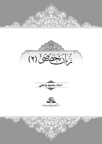







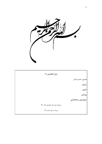

| زبان تخصصی (۱)                 |                           |
|--------------------------------|---------------------------|
|                                | <b>مدرس</b> : محمود واعظی |
|                                | ارزيابي:                  |
|                                | تدوين:                    |
|                                | ويرايش:                   |
|                                | حروفچینی و صفحهأرایی:     |
| نیم سال دوم سال تحصیلی ۸۸ ـ ۸۷ |                           |
| ويراست دوم، اسفند ٨٧           |                           |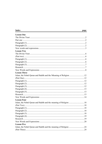#### **Index**

| <b>Lesson One</b>                                                |  |
|------------------------------------------------------------------|--|
|                                                                  |  |
|                                                                  |  |
|                                                                  |  |
|                                                                  |  |
|                                                                  |  |
| <b>Lesson Two</b>                                                |  |
|                                                                  |  |
|                                                                  |  |
|                                                                  |  |
|                                                                  |  |
|                                                                  |  |
|                                                                  |  |
|                                                                  |  |
| <b>Lesson Three</b>                                              |  |
| Islam, the Nobel Quran and Hadith and the Meaning of Religion 12 |  |
|                                                                  |  |
|                                                                  |  |
|                                                                  |  |
|                                                                  |  |
|                                                                  |  |
|                                                                  |  |
|                                                                  |  |
|                                                                  |  |
| <b>Lesson Four</b>                                               |  |
|                                                                  |  |
|                                                                  |  |
|                                                                  |  |
|                                                                  |  |
|                                                                  |  |
|                                                                  |  |
|                                                                  |  |
|                                                                  |  |
| <b>Lesson Five</b>                                               |  |
| Islam, the Nobel Quran and Hadith and the meaning of Religion 24 |  |
|                                                                  |  |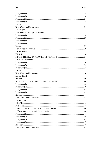|                     | .24 |
|---------------------|-----|
|                     |     |
|                     |     |
|                     |     |
|                     |     |
|                     |     |
| <b>Lesson Six</b>   |     |
|                     |     |
|                     |     |
|                     |     |
|                     |     |
|                     |     |
|                     |     |
|                     |     |
| <b>Lesson Seven</b> |     |
|                     |     |
|                     |     |
|                     |     |
|                     |     |
|                     |     |
|                     |     |
|                     |     |
|                     |     |
| <b>Lesson Eight</b> |     |
|                     |     |
|                     |     |
|                     |     |
|                     |     |
|                     |     |
|                     |     |
|                     |     |
|                     |     |
| <b>Lesson Nine</b>  |     |
|                     |     |
|                     |     |
|                     |     |
|                     |     |
|                     |     |
|                     |     |
|                     |     |
|                     |     |
|                     |     |
|                     |     |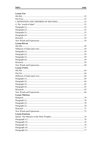| <b>Lesson Ten</b>      |  |
|------------------------|--|
|                        |  |
|                        |  |
|                        |  |
|                        |  |
|                        |  |
|                        |  |
|                        |  |
|                        |  |
|                        |  |
|                        |  |
| <b>Lesson Eleven</b>   |  |
|                        |  |
|                        |  |
|                        |  |
|                        |  |
|                        |  |
|                        |  |
|                        |  |
|                        |  |
| <b>Lesson Twelve</b>   |  |
|                        |  |
|                        |  |
|                        |  |
|                        |  |
|                        |  |
|                        |  |
|                        |  |
|                        |  |
|                        |  |
| <b>Lesson Thirteen</b> |  |
|                        |  |
|                        |  |
|                        |  |
|                        |  |
|                        |  |
|                        |  |
| <b>Lesson Fourteen</b> |  |
|                        |  |
|                        |  |
|                        |  |
|                        |  |
|                        |  |
|                        |  |
|                        |  |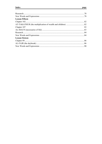| <b>Lesson Fifteen</b> |    |
|-----------------------|----|
|                       |    |
|                       |    |
| Chapter 107           | 83 |
|                       |    |
|                       |    |
|                       |    |
| <b>Lesson Sixteen</b> |    |
|                       |    |
|                       |    |
|                       |    |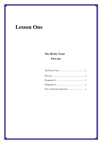# **Lesson One**

# **The Divine Trust** Part one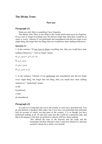### **The Divine Trust**

#### **Part one**

#### **Paragraph (1)**

Some one said: Here is something I have forgotten.

The Master said: There is one thing in this world which must never be forgotten. If you were to forget everything else, but did not forget that, then there would be no cause to worry; whereas if you performed and remembered and did not forget every single thing, but forgot that one thing, then you would have done nothing whatsoever.

#### **Question (1)**

1. In the sentence "If you were to forget everything else, then you would have done nothing whatsoever." "were to forget" means:

$$
a) \; \text{g} \; \text{g} \; \text{h}
$$

 $b$ فراموش کردی  $b$ 

فرאموش کردهאی (c

$$
d) \,\, \text{in} \,\, \text{in}
$$

2. In the sentence "whereas if you performed and remembered and did not forget every single thing, but forgot that one thing, then you would have done nothing whatsoever." "performed" means:

a) did

b) perfected

c) had

d) remembered

#### **Paragraph (2)**

It is just as if a king had sent you to the country to carry out a specified-task. You go and perform a hundred other tasks; but if you have not performed that particular task on account of which you had gone to the country, it is as though you have performed nothing at all. So man has come into this world for a particular task, and that is his purpose; if he does not perform it, then he will have done nothing:

> "We offered the trust to the heavens and the earth and the mountains, but they refused to carry it and were afraid of it; and man carried it. Surely he is sinful, very foolish".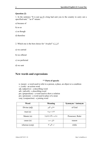#### **Question (2)**

1. In the sentence "It is just as if a king had sent you to the country to carry out a specified-task." "as if" means:

- a) because of
- b) so as
- c) as though
- d) therefore
- 2. Which one is the best choice for "*Aradnā*" (عَرَضْنَا)?
- a) we carried
- b) we offered
- c) we perfected
- d) we sent

### **New words and expressions**

#### **\*\* Parts of speech:**

- n. (noun) a word used to refer to a person, a place, an object or a condition
- v. (verb) an action word
- adj. (adjective) a describing word
- adv. (adverb) a describing word
- pre. (preposition) a word used to show a relation
- pro. (pronoun) a word used in place of a noun
- conj. (conjunction) a joining word

| Word           | Meaning              | <b>Synonym / Antonym</b> |
|----------------|----------------------|--------------------------|
| Divine (adj)   | خدای <i>ی</i> ، الہی | of God                   |
| trust(n)       | امانت، سپرده         |                          |
| Master $(n)$   | صاحب، مالک (خداوند)  | Possessor, Ruler         |
| cause $(n)$    | دليل، سبب            | reason                   |
| whereas (conj) | در حالی که           | while                    |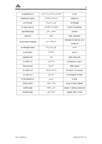

| to perform $(v)$     | انجام دادن، اجرا كردن، به جا آوردن | to do                                 |
|----------------------|------------------------------------|---------------------------------------|
| whatsoever (pro)     | هرچه که، هر آنچه که                | whatever                              |
| as if $(conj)$       | گويى، مثل اين كه                   | as though                             |
| to carry out $(v)$   | محقق كردن، انجام دادن              | to do, to perform                     |
| specified (adj)      | مشخص _ معين                        | certain                               |
| task(n)              | وظيفه                              | duty, function                        |
| on account of (prep) | به واسطهٔ، به سبب                  | because of, due to, as a<br>result of |
| as though (conj)     | گوپی، مثل این که                   | as if                                 |
| at all (adv)         | اصلاً، ابداً                       | never                                 |
| purpose (n)          | هدف                                | goal, end, aim                        |
| to offer $(v)$       | عرضه كردن                          | to present, to give                   |
| heavens (n)          | آسما <sub>ن</sub> ها               | other space                           |
| to refuse $(v)$      | رد كردن، نيذيرفتن                  | to reject $\neq$ to accept            |
| to carry $(v)$       | حمل کردن                           | to transport, to bear                 |
| to be afraid $(v)$   | ترسيدن                             | to fear                               |
| surely (adv)         | يقيناً، در حقيقت                   | truly, in fact, indeed                |
| sinful (adj)         | عاصي، گنهکار                       | sinner $\neq$ sinless, innocent       |
| foolish (adj)        | نابخرد، احمق                       | stupid, silly $\neq$ wise             |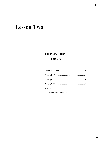# **Lesson Two**

# **The Divine Trust** Part two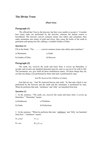### **The Divine Trust**

#### **(Part two)**

#### **Paragraph (1)**

'We offered that Trust to the heavens, but they were unable to accept it.' Consider how many tasks are performed by the heavens, whereas the human reason is bewildered. The heavens convert common stones into rubies and carnelians; they make mountains into mines of gold and silver; they cause the herbs of the earth to germinate and spring into life, making a veritable Garden of Eden.

#### **Question (1)**

Fill in the blank: "The ……….. convert common stones into rubies and carnelians."

| a) Mountains      | c) Earth   |
|-------------------|------------|
| b) Garden of Eden | d) Heavens |

#### **Paragraph (2)**

The earth, too, receives the seeds and bears fruit; it covers up blemishes; it accepts and reveals one hundred thousand marvels such as can never be told in full. The mountains, too, give forth all those multifarious mines. All these things they do, yet that one thing is not performed by them; that task is performed by man.

#### *And We honored the Children of Adam.*

God did not say, 'And We honored heaven and earth.' So that task which is not performed by the heavens and the earth and the mountains is performed by man. When he performs that task, 'sinfulness' and 'folly' are banished from him.

#### **Question (2)**

1. In the sentence: "The earth, too, receives the seeds and bears fruit; it covers up blemishes." "blemishes" means:

| a) Kindnesses | c) Problems    |
|---------------|----------------|
| b) Faults     | d) Perfections |

2. In the sentence: "When he performs that task, 'sinfulness' and 'folly' are banished from him." "sinfulness" means:

- a) گنهکاری (a) گنهکاری
- فریبکاری (d حماقت (b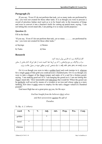#### **Paragraph (3)**

If you say, 'Even if I do not perform that task, yet so many tasks are performed by me,' you were not created for those other tasks. It is as though you were to procure a sword of priceless Indian steel such as is to be found only in the treasuries of kings and were to convert it into a butcher's knife for cutting up putrid meat, saying, 'I am not letting this sword stand idle, I am putting it to so many useful purposes.'

#### **Question (3)**

Fill in the blank:

"If you say, 'Even if I do not perform that task, yet so many ………. are performed by me,' you were not created for those other tasks."

| a) Sayings | c) Stones |
|------------|-----------|
|            |           |

| b) Tasks | d) Sins |
|----------|---------|
|----------|---------|

#### **Research**

الف) پاراگراف زیر با به فارسی روان ترجمه کنید. ب) در پاراگراف زیر نوع واژههایی را که زیر آنها خط کشیده شده، از نظر اینکه کدام بخش از سخن هستند (conj or ,pro ,pre ,adv ,adj ,v ,n (مشخص کرده و مطابق نمونه در جدول علامت بزنید.

Or it is as though you were to take a golden bowl and cook turnips in it, whereas for a single grain of that gold you could procure a hundred pots. Or it is as though you were to take a dagger of the finest temper and make of it a nail for a broken gourd, saying, 'I am making good use of it. I am hanging the gourd on it. I am not letting this dagger stand idle.' How lamentable and ridiculous that would be! When the gourd can be perfectly well served by means of a wooden or an iron nail whose value is a mere farthing, how does it make sense to employ for the task a dagger valued at a hundred pounds?

God most High has set a great price on you, for He says:

*God has bought from the believers their selves and their possessions against the gift of* 

*Paradise.* 

| word    | N.      | V. | Adj.    | Adv. | Prep. | Pro. | Conj. |
|---------|---------|----|---------|------|-------|------|-------|
| golden  |         |    | $\star$ |      |       |      |       |
| bowl    | $\star$ |    |         |      |       |      |       |
| whereas |         |    |         |      |       |      |       |

Tr. By: *A. J. Arberry*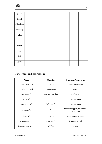

| grain                  |  |  |  |  |
|------------------------|--|--|--|--|
| finest                 |  |  |  |  |
| ridiculous             |  |  |  |  |
| perfectly              |  |  |  |  |
| value                  |  |  |  |  |
| $\mathbf{I}\mathbf{s}$ |  |  |  |  |
| make                   |  |  |  |  |
| on                     |  |  |  |  |
| their                  |  |  |  |  |
| against                |  |  |  |  |

## **New Words and Expressions**

| Word                      | Meaning                | <b>Synonyms / Antonyms</b>                  |
|---------------------------|------------------------|---------------------------------------------|
| human reason (n)          | عقل بشرى               | human intelligence                          |
| bewildered (adj)          | سر گردان، متحیر        | confused                                    |
| to convert $(v)$          | تبديل كردن، تغيير دادن | to change                                   |
| ruby $(n)$                | لعل                    | precious stone                              |
| cornelian (n)             | سنگ يمين، ياقوت        | precious stone                              |
| to cause $(v)$            | سبب شدن                | to make happen, to lead to,<br>to result in |
| herb $(n)$                | گیاه دارویی            | a soft-stemmed plant                        |
| to germinate $(v)$        | جوانه زدن، روييدن      | to grow, to bud                             |
| to spring into life $(v)$ | جوانه زدن              | to bud                                      |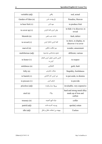| veritable (adj)     | واقعى                                      | real, actual                                                 |
|---------------------|--------------------------------------------|--------------------------------------------------------------|
| Garden of Eden (n)  | باغ بهشت، عَدن                             | Paradise, Heaven                                             |
| to bear fruit $(v)$ | ميوه دادن                                  | to produce fruit                                             |
| to cover up $(v)$   | نهان کردن، افشا نکردن                      | to hide $\neq$ to discover, to<br>reveal                     |
| blemish (n)         | خدشه، عيب، نقص                             | fault, defect                                                |
| to reveal $(v)$     | افشا كردن، آشكار كردن                      | to show, to display, to<br>discover $\neq$ to cover          |
| marvel $(n)$        | چيز شگفت، شگفتے ,                          | wonder, amazement                                            |
| multifarious (adj)  | متنوع، چندبخشی، چندسویه                    | different, various                                           |
| to honor $(v)$      | گرامی داشتن، تجلیل کردن، افتخار<br>کردن به | to respect                                                   |
| sinfulness (n)      | گناهکاری                                   | guilt, fault                                                 |
| folly $(n)$         | حماقت، نابخر دي                            | Stupidity, foolishness                                       |
| to banish $(v)$     | دور کردن، کنار گذاشتن                      | to put aside, to dismiss                                     |
| to procure $(v)$    | فراهم كردن                                 | to provide                                                   |
| priceless (adj)     | بي بها، بسيار پرقيمت                       | invaluable, very expensive                                   |
| steel $(n)$         | پولاد                                      | hard and strong metal alloy<br>made up of iron and<br>carbon |
| treasury $(n)$      | خزانه گنج، گنجينه                          | coffer                                                       |
| putrid (adj)        | يوسيده، گنديده، فاسد                       | spoiled, rotten                                              |
| idle (adj)          | بیهوده، بی استفاده، عاطل و باطل            | Useless                                                      |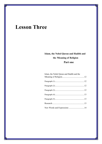# **Lesson Three**

# **Islam, the Nobel Quran and Hadith and the Meaning of Religion Part one**

| Islam, the Nobel Quran and Hadith and the |  |
|-------------------------------------------|--|
|                                           |  |
|                                           |  |
|                                           |  |
|                                           |  |
|                                           |  |
|                                           |  |
| New Words and Expressions 14              |  |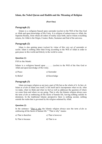#### **Islam, the Nobel Quran and Hadith and the Meaning of Religion**

#### **(Part One)**

#### **Paragraph (1)**

Islam is a religion based upon surrender (*taslim*) to the Will of the One God or Allah and upon knowledge of His Unity. It is religion of subservience to Allah, the Supreme Reality, from whom all orders of reality issue forth, and to whom everything returns, for Allah is the Origin, Creator, Ruler, Sustainer and End of the universe.

#### **Paragraph (2)**

Islam is also gaining peace (*salam*) by virtue of this very act of surrender or *taslim*. Islam is nothing other than living according to the Will of Allah in order to gain peace in this world and felicity in the world to come.

#### **Question (1)**

Fill in the blank:

Islam is a religion based upon ……… (*taslim*) to the Will of the One God or Allah and upon knowledge of His Unity.

| a) Peace  | c) Surrender |
|-----------|--------------|
| b) Belief | d) Knowledge |

#### **Paragraph (3)**

Islam envisages religion as not just a part of life but as the whole of it. In fact, al-Islam or *al-din* as Islam sees itself, is life itself and it incorporates what we do, what we make, what we think and what we feel as well as addresses the question of where we come from and where we are going. That is why the Islamic religion always uses the term *al-din* as embracing all the facets of human life, leaving nothing outside its dominion. In the traditional Islamic perspective there is nothing secular, nothing outside the realm that is governed by the religion ordained by Allah.

#### **Question (2)**

In the sentence: "That is why the Islamic religion always uses the term *al-din* as embracing all the facets of human life." "That is why" means:

| a) That is therefore | c) That is however |
|----------------------|--------------------|
|                      |                    |

| b) That is because | d) That is so |
|--------------------|---------------|
|--------------------|---------------|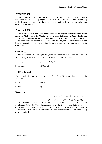#### **Paragraph (4)**

At the same time Islam places extreme emphasis upon the one eternal truth which had been there from the very beginning, that is the truth of *tawhid* or unity. According to the Quran, man testified to the unity of Allah and His Lordship even before the creation of the world.

#### **Paragraph (5)**

Therefore, Islam is not based upon a transient message or particular aspect of the reality or Allah Who is the Absolute God, but upon that Absolute Reality Itself, that Reality which is characterized more than anything else by its uniqueness and oneness. Islam emphasizes the fact that Allah is *al-Ahad*, the One, that He neither begets nor is begotten according to the text of the Quran, and that he is transcendent vis-a-vis everything.

#### **Question (3)**

3. In the sentence: "According to the Quran, man testified to the unity of Allah and His Lordship even before the creation of the world." "testified" means:

| a) Clamed   | c) Acknowledged |
|-------------|-----------------|
| b) Believed | b) Obeyed       |

#### 4. Fill in the blank:

"Islam emphasizes the fact that Allah is *al-Ahad* that He neither begets ……… is begotten."

| a) Or | c) Nor |
|-------|--------|
|       |        |

b) And d) That

#### **Research**

الف) پاراگراف زیر را به فارسی روان ترجمه کنید. ب) در پاراگراف زیر «اسمها» را مشخص کنید. (مطابق نمونه)

That is why the central **truth** of Islam is contained in the *shahadah* or testimony of Islam, *La ilaha' illa Llah*, which among many other things means that there is only one Allah; there cannot be a like or partner unto Him. This doctrine is so central to Islam that it is said that Allah will forgive all sins except the sin of shirk, or of taking a partner unto Him.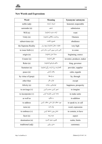## **New Words and Expressions**

| Word                 | <b>Meaning</b>                         | Synonyms/ antonyms        |
|----------------------|----------------------------------------|---------------------------|
| noble (adj)          | شريف، ارجمند                           | honored, respectable      |
| surrender (n)        | تسليم                                  | submission                |
| Will $(n)$           | اراده، مشيت (خداوند)                   | want                      |
| Unity $(n)$          | وحدانيت، يگانگي (خداوند)               | Oneness                   |
| subservience (n)     | خضوع، اطاعت                            | obedience                 |
| the Supreme Reality  | حقيقت متعال (خداوند)، وجود برتر        | very high                 |
| to issue forth $(v)$ | ناشی شدن، بیرون آمدن، صادر شدن         | to come                   |
| origin(n)            | منشأ، اصل (خداوند)                     | beginning, source         |
| Creator $(n)$        | خالق (خداوند)                          | inventor, producer, maker |
| Ruler $(n)$          | حاكم، فرمانروا (خداوند)                | king, governor            |
| Sustainer (n)        | نگهدارنده، برپا دارنده، رزّاق (خداوند) | provider, supplier        |
| peace(n)             | سلام، أرامش                            | calm, regards             |
| by virtue of (prep)  | به واسطهٔ                              | by, through               |
| other than           | فراتر، مگر                             | except                    |
| felicity $(n)$       | خوشبختی، سعادت                         | happiness, prosperity     |
| to envisage (v)      | تصور کردن، مجسم کردن                   | to imagine                |
| to incorporate $(v)$ | متحد کردن، یکپارچه کردن                | to make unite             |
| as well as           | به علاوه                               | in addition               |
| to address           | مورد خطاب قرار دادن، خطاب کردن         | to speak to, to call      |
| term (n)             | واژه، لغت                              | word, expression          |
| to embrace $(v)$     | شامل بودن، احاطه کردن                  | to contain, to have       |
| facet $(n)$          | جنبه، وجه                              | aspect                    |
| domination (n)       | قلمرو، حدود، گستره                     | realm, limits             |
| traditional (adj)    | سنتي، روايي                            | customary                 |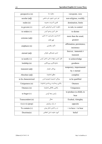| perspective (n)     | منظره، نما                          | viewpoint, view           |
|---------------------|-------------------------------------|---------------------------|
| secular (adj)       | غیر دینی، دنیوی، غیر مذهبی          | non-religious, worldly    |
| realm $(n)$         | قلمرو، گسترده، محدوده               | domination, limits        |
| to govern $(v)$     | حکومت کردن، فرمانروایی کردن         | to rule, to control       |
| to ordain $(v)$     | مقرر كردن، وضع كردن                 | to dictate                |
| extreme (adj)       | شدیدترین، بیش ترین، حد نمایی،       | more than the usual,      |
|                     | فوق العاده                          | greatest                  |
| emphasis (n)        | تأكيد، يافشاري                      | affirmation, persistence, |
|                     |                                     | insistence                |
|                     | ابدی، همیشگی، جاودان                | forever, immortal $\neq$  |
| eternal (adj)       |                                     | transient                 |
| to testify $(v)$    | اقرار كردن، شهادت دادن، اذعان كردن  | to acknowledge            |
| lordship $(n)$      | خداوندگاری، پروردگاری               | goodness                  |
|                     | زودگذر، ناپايدار                    | temporary, impermanent    |
| transient (adj)     |                                     | by $\neq$ eternal         |
| Absolute (adj)      | مطلق (خداوند)                       | complete                  |
| to be characterized | ویژگی/ خصیصه (چیزی) شدن             | to be qualified           |
| Uniqueness (n)      | یکتایی، وحدانیت، بی مانندی (خداوند) | Oneness                   |
| Oneness (n)         | یکتایی، یگانگی (خداوند)             | Uniqueness                |
| to beget $(v)$      | زاييدن، بچه آوردن                   | to produce (a child), to  |
|                     | bear                                |                           |
| Transcendent (n)    | متعال                               | Exalted, Almighty         |
| vis-à-vis (prep)    | در برابر، رویاروی                   | opposite                  |
| To contain $(v)$    | در بر داشتن، شامل بودن              | $=$ to have $=$ to bear   |
| Doctrine(n)         | آموزه، عقیده، اصل اعتقادی           | belief                    |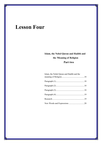# **Lesson Four**

# **Islam, the Nobel Quran and Hadith and the Meaning of Religion Part two**

| Islam, the Nobel Quran and Hadith and the |  |
|-------------------------------------------|--|
|                                           |  |
|                                           |  |
|                                           |  |
|                                           |  |
|                                           |  |
|                                           |  |
|                                           |  |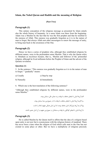#### **Islam, the Nobel Quran and Hadith and the meaning of Religion**

#### **(Part Two)**

#### **Paragraph (1)**

This unitary conception of the religious message as presented by Islam entails also the whole history of humanity. In a sense Islam was there from the beginning. Adam was a Muslim by the fact that he was the first prophet and that he testified to the oneness of Allah. This oneness was gradually forgotten as it is in the nature of man to forget. But always Allah sent other messengers to renew the message of unity, to bring man back to the awareness of the One.

#### **Paragraph (2)**

Hence we have a series of prophets who, although they established religions by different names, were in the profoundest sense Muslim. That is why the Quran refers to Abraham as *musliman hanifan*, that is, Muslim and follower of the primordial religion, although he lived millennia before the Prophet of Islam and the advent of the Quranic revelation.

#### **Question (1)**

5. In the sentence: "This oneness was gradually forgotten as it is in the nature of man to forget." "gradually" means:

| a) Usually | c) Step by step |
|------------|-----------------|
|------------|-----------------|

- b) Naturally d) Immediately
- 6. Which one is the best translation of the following sentence?

"Although they established religions by different names, were in the profoundest sense Muslim<sup>"</sup>

אلف) آنها אدیانی با نامهای مختلف بنا نهادند و به معنای عالی مسلمان بودند. ب) אگرچه آنها אدیانی با نامهای مختلف بنا نهادند، אما در عمیقترین معنا مسلمان بودند. ج) אگر چه آنها بنیانگذאر אدیان مختلف بودند، אما אین אدیان همگی مفهوم אسلام رא دאشت. د) آنها אدیانی با نامهای گوناگون بنا نهادند و مسلمانان در عمیقترین مفهوم در آن אدیان حضور دאشتند.

#### **Paragraph (3)**

He is called Muslim by the Quran itself to affirm that the idea of a religion based upon unity is not new but is synonymous with the religious history of mankind. There has never been a time when the religion of God which calls man to the One has not existed in some place or other. But we have a multiplicity of religions precisely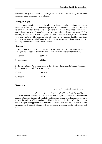because of the gradual loss or this message and the necessity for its being reconfirmed again and again by successive revelations.

#### **Paragraph (4)**

In a sense, therefore, Islam is the religion which came to bring nothing new but to reassert the truth of *tawhid* which always was. It is a universal religion, a primordial religion. It is a return to the basic and primordial pact or *mithaq* made between man and Allah through which man has been given not only the function of being Allah's servant, *al'abd*, but also His vicegerent on earth, *khalifat* Allah *fi'l-ard*, bestowed with many gifts and blessings for which he must always remain thankful. One does this by being aware of Allah's Oneness, by bearing testimony to that oneness, and by drawing all the consequences of that Oneness.

#### **Question (2)**

1. In the sentence: "He is called Muslim by the Quran itself to affirm that the idea of a religion based upon unity is not new." Which one is an antonym for "affirm"?

| a) Confirm | c) Deny |
|------------|---------|
|            |         |

b) Emphasize d) Hate

2. In the sentence: "In a sense Islam is the religion which came to bring nothing new but to reassert the truth." "reassert" means:

| a) represent | c) renew |
|--------------|----------|
|              |          |

b) reappear d) a & b

#### **Research**

الف) پاراگراف زیر را به فارسی روان ترجمه کنید. ب) در پاراگراف زیر افعال و فاعلها را مشخص کرده و در جدولی وارد کنید.

From another point of view, Islam is the final religion. The Prophet of Islam is the *khatam al-anbiya*, the seal of prophets, and fourteen centuries of human history have proven the validity of Islam's claim to this finality. Since the death of the Prophet, no major religion has appeared upon the surface of the earth, nothing to compare to the religions which preceded Islam such as Christianity, Judaism or Zoroastrianism and the like.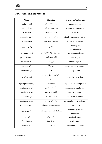

### **New Words and Expressions**

| Word              | <b>Meaning</b>                        | Synonyms/ antonyms              |
|-------------------|---------------------------------------|---------------------------------|
| unitary (adj)     | وحدت طلبانه، يگانگي                   | undivided, one                  |
| to entail $(v)$   | مستلزم بودن، در بر داشتن              | to need, to necessitate         |
| in a sense        | به عبارتی، از یک نظر                  | in a way                        |
| gradually (adv)   | به تدریج، به مرور زمان                | step by step, progressively     |
| to renew $(v)$    | تجدید کردن، احیا کردن                 | to restart, to restore          |
| awareness (n)     | آگاهی                                 | knowingness,<br>consciousness   |
| profound (adj)    | (بسیار) عمیق، پرژرفا، بنیادی، اساسی   | very deep, doctrinal            |
| primordial (adj)  | اوليه، أغازين، اصلي                   | early, original                 |
| millennia (n)     | هزار سال                              | thousand years                  |
| advent(n)         | ظهور، پيدايش                          | appearance, presentation        |
| revelation (n)    | وحي                                   | inspiration                     |
| to affirm $(v)$   | اذعان كردن، تصريح كردن، تأكيد<br>کردن | to confirm $\neq$ to deny       |
| synonymous (adj)  | مترادف، هممعنا                        | equivalent $\neq$ antonymous    |
| multiplicity (n)  | تعدّد، كثرت، چندتايي                  | numerousness, plurality         |
| precisely (adv)   | دقيقاً، مو به مو، درست                | exactly, correctly              |
| to confirm $(v)$  | تأييد كردن، تصديق كردن                | to affirm, to accept            |
| again and again   | بارها، مکرراً، پی در پی               | repeatedly, more and more       |
| successive (adj)  | پست سر هم، پی در پی، متوالی           | continuous                      |
| to reassert $(v)$ | مجدد اعلام كردن، دوباره تصريح كردن    | to claim again, to<br>reconfirm |
| pact(n)           | معاهده، پیمان                         | contract, treaty                |
| function (n)      | عمل (وظيفه)                           | work, action                    |
| servant $(n)$     | خدمتكار، عبد                          | worshiper, obedient             |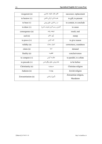| vicegerent (n)     | قائم مقام، خليفه، جانشين   | successor, replacement            |
|--------------------|----------------------------|-----------------------------------|
| to bestow $(v)$    | هدیه دادن، ارزانی داشتن    | to gift, to present               |
| to bear $(v)$      | در بر داشتن، حاوی بودن     | to contain, to conclude           |
| to draw $(v)$      | كشيدن، رسم كردن (موجب شدن) | to cause                          |
| consequence (n)    | نتيجه، پيامد               | result, end                       |
| seal $(n)$         | مُهر، خاتم                 | stamp                             |
| to prove $(v)$     | ثابت کردن                  | to give reason                    |
| validity (n)       | اعتبار، صحّت               | correctness, soundness            |
| claim (n)          | ادعا                       | demand                            |
| finality $(n)$     | قطعيت                      | conclusiveness                    |
| to compare $(v)$   | مقايسه كردن                | to parallel, to collate           |
| to precede $(v)$   | مقدم بودن، جلوتر واقع شدن  | to be before                      |
| Christianity (n)   | مسيحيت                     | Christian religion                |
| Judaism (n)        | يهوديت                     | Jewish religion                   |
| Zoroastrianism (n) | (آیین) زرتشتی              | Zoroastrian religion,<br>Mazdaism |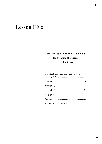# **Lesson Five**

# **Islam, the Nobel Quran and Hadith and the Meaning of Religion Part three**

| Islam, the Nobel Quran and Hadith and the |  |
|-------------------------------------------|--|
|                                           |  |
|                                           |  |
|                                           |  |
|                                           |  |
|                                           |  |
|                                           |  |
|                                           |  |
| New Words and Expressions 25              |  |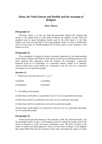## **Islam, the Nobel Quran and Hadith and the meaning of Religion**

#### **(Part Three)**

#### **Paragraph (1)**

Therefore, Islam is on the one hand the primordial religion, the religion that always is, the religion that is in the nature of things, the religion of unity which all prophets came to assert throughout history and on the other hand it is the final religion, the final seal and link of this long prophetic chain, of what is traditionally said to be the chain of 124,000 prophets all of whom came to bear testimony to the oneness of God.

#### **Paragraph (2)**

This conception of religion in Islam is extremely important for the understanding of the Islamic religion itself both in itself and in its historical unfolding because most other religions base themselves upon the founder, the messenger, a particular historical event as in Christianity or a particular historic people as in Judaism, whereas Islam bases itself neither on a particular event nor even on a particular messenger nor on a particular people.

#### **Question (1)**

7. Which one is the best choice for "مؤسس?"

a) founder c) founding

- b) foundation d) founded
- 8. According to the passage:

a) Islam bases itself either on a particular event or even on a particular messenger.

b) Islam bases itself on a particular event and even on a particular messenger.

c) Islam bases itself on a particular event and on a particular people.

d) Islam bases itself neither on a particular event nor even on a particular messenger nor on a particular people.

#### **Paragraph (3)**

It bases itself upon the Oneness of the Absolute, Allah, the Absolute Reality, and the primordial nature of man, of all humanity and not a particular people such as the Arabs or Persians or Turks, nor upon a particular event. The basis of Islam is the nature of reality and Islam appeals to what is in the nature of things. It just happens that Allah Willed that the last assertion of the truth concerning the nature of reality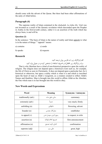should come with the advent of the Quran. But there had been other affirmations of the unity of Allah before.

### **Paragraph (4)**

The supreme reality of Islam contained in the *shahadah, La ilaha illa 'Llah* was not invented as a result of the Quranic revelation which descended upon the Prophet in Arabia in the first/seventh century, rather it is an assertion of the truth which has always been, is and will be.

#### **Question (2)**

In the sentence: "The basis of Islam is the nature of reality and Islam appeals to what is in the nature of things." "appeals" means:

| a) contains | c) sends |
|-------------|----------|
|-------------|----------|

| b) speaks | d) requests |
|-----------|-------------|
|-----------|-------------|

#### **Research**

الف) پاراگراف زیر با به فارسی روان ترجمه کنید. ب) در پاراگراف زیر «افعال» و «حروف اضافه» را مشخص کرده و در جدولی وارد کنید.

That is why Muslims have a kind of non-historical perspective upon the reality of religion. The religion does not depend upon a historical event such as, for example, the life of Christ as seen in Christianity. It does not depend upon a particular fact, be it historical or otherwise, but upon a reality which is what it is and which is inscribed upon the heart of man as Allah's vicegerent, as a creature created to reflect Allah's Names and Qualities. Man is brought into this world to affirm Allah as the Absolute, the One whom man is in fact brought into this world to obey.

#### **New Words and Expressions**

| Word                | <b>Meaning</b>       | <b>Synonyms / Antonyms</b> |
|---------------------|----------------------|----------------------------|
| traditionally (adv) | سنّتى، طبق سنّت      | customary                  |
| extremely (adv)     | شدىداً               | very much, firmly          |
| unfolding $(n)$     | شکوفایی              | flowering, advent          |
| founder $(n)$       | بنيان گذار، مؤسس     | establisher                |
| to appeal $(v)$     | رجوع كردن، متوسل شدن | to request, to refer       |
| assertion $(n)$     | تصريح، اعلام (مؤكد)  | firm announcement          |
| affirmation (n)     | اذعان، تأييد، تصديق  | confirmation               |
| supreme (adj)       | عالی، برتر           | great, high                |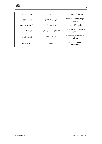

| as a result of    | در نتیجهٔ، در پی          | because of, due to                  |
|-------------------|---------------------------|-------------------------------------|
| to descend $(v)$  | نازل شدن، فرود آمدن       | to be sent down, to go<br>down      |
| otherwise (adv)   | غير از اين، جز اين        | else, differently                   |
| to inscribe $(v)$ | حک کردن، ثبت کردن بر چیزی | to record, to write on a<br>surface |
| to reflect $(v)$  | منعكس كردن، بازتاباندن    | to reverse, to invert, to<br>mirror |
| quality $(n)$     | صفت                       | attribute, property,<br>description |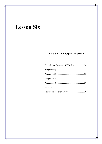# **Lesson Six**

## The Islamic Concept of Worship

| The Islamic Concept of Worship 28 |  |
|-----------------------------------|--|
|                                   |  |
|                                   |  |
|                                   |  |
|                                   |  |
|                                   |  |
|                                   |  |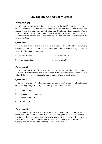### **The Islamic Concept of Worship**

#### **Paragraph (1)**

Worship, according to Islam, is a means for the purification of man's soul and his practical life. The basis of worship is the fact that human beings are creatures and thus bond servants of God, their Creator and their Lord, to Whom they are destined to return. Thus man's turning towards God, in intimate communion, reverence, and in the spite of devotion and humble submission, is termed *'ibādah*.

#### **Question (1)**

1. In the sentence: "Thus man's turning towards God, in intimate communion, reverence, and in the spirit of devotion and humble submission, is termed *'ibādah*." "intimate communion" means:

| a) continues relation | c) excellent worship |
|-----------------------|----------------------|
| b) eternal connection | d) close sympathy    |

#### **Paragraph (2)**

Worship has been an indispensable part of all religions, since the beginning of history. It is motivated, however, in each religion by different objectives, and it has different forms and is performed under a different set of rules.

#### **Question (2)**

1. In the sentence: "Worship has been an indispensable part of all religions, since the beginning of history." "an indispensable part" means:

- a) a complete part
- b) an absolutely necessary part
- c) an incomplete part
- d) a simple part

#### **Paragraph (3)**

In some religions worship is a means to develop in man the attitude of asceticism and isolation from life. In these religions it seeks to develop a mentality which anathematizes the enjoyment of the pleasures of this world. Then, there are other religions which consecrate certain places for the sake of worship and prohibit its performance at any other place.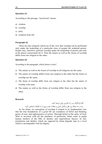#### **Question (3)**

According to the passage, "asceticism" means:

- a) wisdom
- b) worship
- c) piety
- d) isolation from life

#### **Paragraph (4)**

There are also religions which are of the view that worship can be performed only under the leadership of a particular class of people the ordained priests. People may, therefore, perform worship under the leadership of priests and only at the places consecrated for it. Thus the nature as well as the forms of worship differ from one religion to the other.

#### **Question (4)**

According to the paragraph, which choice is true?

- a) The nature as well as the forms of worship in all religions are the same.
- b) The nature of worship differs from one religion to the other but the forms of worship are the same.
- c) The forms of worship differ from one religion to the other but the nature of worship is the same.
- d) The nature as well as the forms of worship differ from one religion to the other.

#### **Research**

## الف) پاراگراف زیر را به فارسی روان ترجمه کنید. ب) در سه جملۀ زیر، فعل و فاعل اصلی و جملات پایه و پیرو را به تفکیک مشخص کنید.

As for Islam, its conception of worship is related to its fundamental view that the true foundations of a good life are soundness of belief and thinking, purity of soul, and righteousness of action. Through belief in the unity of God, Who is invested with all the attributes of perfection, Islam seeks to purge human intellect of the filth of idolatry and superstitious fancies. In fact, polytheism and idolatry which are opposed by Islam degrade man to a level which is incompatible with his dignity.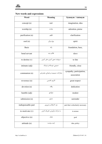| Word               | <b>Meaning</b>                 | Synonym / Antonym                       |
|--------------------|--------------------------------|-----------------------------------------|
| concept(n)         | مفهوم                          | imagination, idea                       |
| worship (n)        | عبادت                          | adoration, praise                       |
| purification (n)   | تطهير                          | clarification                           |
| soul $(n)$         | روح، روان                      | spirit                                  |
| <b>Basis</b>       | پایه                           | foundation, base,                       |
| bond servant       | غلام، بنده                     | slave                                   |
| to destine $(v)$   | سرنوشت معین کردن، مقرر کردن    | to fate                                 |
| intimate (adj)     | صمیمی، دوستانه و نزدیک         | friendly, close                         |
| communion (n)      | مشارکت، صمیمیت و همدلی، همدردی | sympathy, participation,<br>association |
| reverence (n)      | تكريم، تقديس                   | great respect                           |
| devotion (n)       | وقف                            | dedication                              |
| humble (adj)       | متواضع                         | modest                                  |
| submission (n)     | تسليم                          | surrender                               |
| indispensable part | جزء لاینفک و ضروری             | part that is absolutely necessary       |
| to motivate (v)    | به حرکت درآوردن، تحریک کردن    | to arouse                               |
| objective (n)      | هدف                            | goal                                    |
| attitude (n)       | ایده، سیاست                    | idea, policy                            |

Π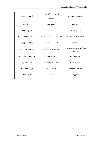| asceticism (n)         | زهد، رهبانیت، کنارهگیری و<br>عزلتنشينى | isolation, separateness                   |
|------------------------|----------------------------------------|-------------------------------------------|
| to seek $(v)$          | جستجو كردن                             | to search                                 |
| mentality (n)          | ذهن                                    | mental capacity                           |
| to anathematize $(v)$  | بیزاری جستن، متنفر بودن، مانع شدن      | to dislike, to hate, to ban               |
| enjoyment (n)          | خوشی، لذت، برخورداری                   | pleasure                                  |
| to consecrate $(v)$    | مقدس شمردن، اختصاص دادن                | to make sacred, to sanctify, to<br>devote |
| for the sake of (prep) | برای، به خاطر                          | for, in order that                        |
| to prohibit $(v)$      | غدغن كردن، ممنوع كردن                  | to ban, to forbid                         |
| ordained (adj)         | معين، انتخاب شده                       | destined, accepted                        |
| priest $(n)$           | روحانی، کشیش                           | clergyman                                 |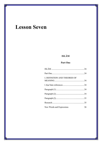# **Lesson Seven**

## **ISLĀM**

## Part One

| I. DEFINITION AND THEORIES OF |    |
|-------------------------------|----|
|                               |    |
|                               |    |
|                               |    |
|                               |    |
|                               |    |
| New Words and Expressions     | 36 |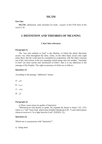## **Part One**

**ISLĀM**, submission, total surrender (to God) - *maşdar* of the IVth form of the root S L M .

## **I. DEFINITION AND THEORIES OF MEANING**

## **I. Ķur'ānic references**

## **Paragraph (1)**

The "one who submits to God" is the Muslim, of which the plural *Muslimūn* occurs very often throughout the sūras. *Islām*, on the other hand, occurs only eight times there; but the word must be considered in conjunction with the fairly common use of the verb *aslama* in the two meanings which merge into one another, "surrender to God" (an inner action) and "profession of *Islām*", that is to say adherence to the message of the Prophet. The eight occurrences of *Islām* are as follows:

## **Question (1)**

According to the passage, "adherence" means:

- باطنی (a
- تمسک (b
- شهادت (c
- اقرار (d

## **Paragraph (2)**

a) Three verses stress its quality of interiority:

"Whomsoever God desires to guide, He expands his breast to Islam" (VI, 125); *Islām* is a "call" from God, which must prohibit falsehood (LXI, 7) and which places whoever receives it "in a light from his Lord" (XXXIX, 22).

## **Question (2)**

Which one is synonymous with "interiority"?

a) being inner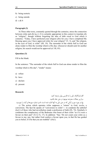- b) being esoteric
- c) being outside
- d) a & b

b) Three other texts, constantly quoted through the centuries, stress the connection between *islām* and *dīn* [q.v.]. It is certainly appropriate in this context to translate *dīn* as "religion", though without forgetting the idea of debt owed to God which it connotes. "Today, I have perfected your religion (*dīn*) for you; I have completed My blessing upon you; I have approved *islām* for your religion" (V, 3), and "the religion, in the eyes of God, is *islām*" (III, 19). The surrender of the whole Self to God can alone render to Him the worship which is His due; whosoever should seek for another religion, his search would not be approved (cf. III, 85).

## **Question (3)**

Fill in the blank:

In the sentence: "The surrender of the whole Self to God can alone render to Him the worship which is His due", "render" means:

- a) refuse
- b) have
- c) declare
- d) present

#### **Research**

אلف) پارאگرאف ذیل رא به فارسی روאن ترجمه کنید. ب) زیر جملات معترضه موجود در متن خط بکشید. ج) در مورد سور و آیاتی که در متن ذیل به آنها אشاره شده אست، نام و شماره سورهها و آیات رא بنویسید.

c) The action which operates *islām* supposes a "return" to God, *tawba*, a conversion. The Ķur'ān speaks of "conversion to *islām*"--- to condemn the unbelief (*kuƒr*) of those who had nevertheless made a profession of faith (IX, 74). Similarly it condemns the complacency of the Bedouins who boast of their *islām* "as if it were a favour on their part" (X LI X, 17). In addition: "Say: 'Do not count your *islām* as a favour to me; nay, but rather God confers a favour upon you, in that He has guided you to belief, if it be that you are truthful" (*ibid*.).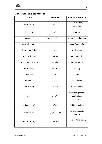

| Word                | <b>Meaning</b>                    | Synonym/Antonym                                  |
|---------------------|-----------------------------------|--------------------------------------------------|
| definition (n)      | تعريف                             | explanation,<br>meaning                          |
| theory $(n)$        | نظريه                             | idea, view                                       |
| to occur $(v)$      | به کار رفتن، استفاده شدن، رخ دادن | to apply, to happen                              |
| very often (adv)    | اغلب، بسيار                       | very frequently                                  |
| throughout (adv)    | سرتاسر                            | total, whole                                     |
| to consider $(v)$   | توجه كردن                         | to pay attention                                 |
| in conjunction with | در ارتباط با                      | connected to                                     |
| fairly (adv)        | نسبتاً خوب، واقعاً                | actually                                         |
| common (adj)        | عموم                              | usual                                            |
| to merge            | ادغام شدن                         | to combine                                       |
| inner (adj)         | دروني، باطني                      | esoteric, inside                                 |
| profession (n)      | اعلام، اقرار                      | acknowledgement,<br>declaration,<br>announcement |
| adherence (n)       | تمسک                              | holding, sticking                                |
| to stress $(v)$     | تأكيد كردن، بيان كردن             | to emphasize, to<br>confirm                      |
| interiority (n)     | دروني بودن                        | being esoteric, being<br>inner                   |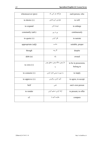| whomsoever (pro)  | هرآنکه، هر کس که                       | each person, who                  |
|-------------------|----------------------------------------|-----------------------------------|
| to desire $(v)$   | خواستن، آرزو داشتن                     | to will                           |
| to expand         | توسعه دادن                             | to enlarge                        |
| constantly (adv)  | پی در پی                               | continuously                      |
| to quote $(v)$    | نقل كردن                               | to narrate                        |
| appropriate (adj) | مناسب                                  | suitable, proper                  |
| though            | اگر چه                                 | despite                           |
| debt(n)           | وام                                    | owned                             |
| to own $(v)$      | دارا بودن، مالک بودن، متعلق بودن<br>به | to be in possession,<br>belong to |
| to connote $(v)$  | به صورت ضمنی اشاره کردن                | to imply                          |
| to approve $(v)$  | تأييد كردن، برگزيدن                    | to agree, to accept               |
| Self              | نفس                                    | one's own person                  |
| to render         | ارائه كردن، تسليم كردن                 | to present, to offer              |
| cf.               | مقايسه كنيد با                         | compare                           |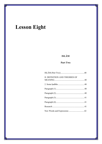# **Lesson Eight**

# **ISLĀM**

## Part Two

| II. DEFINITION AND THEORIES OF |  |
|--------------------------------|--|
|                                |  |
|                                |  |
|                                |  |
|                                |  |
|                                |  |
|                                |  |
|                                |  |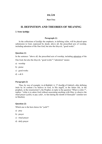## **Part Two**

## **II. DEFINITION AND THEORIES OF MEANING**

#### **2. Some hadīths**

#### **Paragraph (1)**

In the collections of *hadīths* the emphasis, in defining *islām*, will be placed upon submission to God, expressed by deeds: above all, the prescribed acts of worship, including adoration of the One God, but also the *khayrāt*, "good works".

#### **Question (1)**

In the sentence: "above all, the prescribed acts of worship, including adoration of the

One God, but also the *khayrāt*, "good works"","adoration" means:

- a) worship
- b) praise
- c) good works
- d) a & b

## **Paragraph (2)**

Thus, by way of example: in al-Bukhārī, ii, 37 (*hadīth* of Gabriel), after defining *īmān* by its content ("to believe in God, in His angels, in the future life, in the prophets, in the resurrection"), the Prophet, in reply to the question "What is *islām* ?", replies: "*islām* is to adore God without associating anything with Him, to observe the ritual prayer (*şalāt*), to pay *zakāt* , to fast during the month of *Ramadān*" (similar text in Muslim).

#### **Question (2)**

Which one is the best choice for "*şalāt*"?

- a) pray
- b) prayer
- c) ritual prayer
- d) daily prayer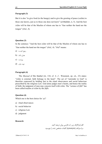But it is also "to give food (to the hungry) and to give the greeting of peace (*salām*) to those one knows, just as to those one does not know" (al-Bukhāri, ii, 5). And the best *islām* will be that of the Muslim of whom one has to "fear neither the hand nor the tongue" (*ibid*., 4).

## **Question (3)**

In the sentence: "And the best *islām* will be that of the Muslim of whom one has to "fear neither the hand nor the tongue" (*ibid*., 4). "*ibid*" means:

- رجوع کنید به (a
- همان مأخذ (b
- ویرאست (c
- نوبت چاپ (d

#### **Paragraph (4)**

The *Musnad* of Ibn Hanbal (iii, 134; cf. A .J . Wensinck, op. cit., 23) states: "*islām* is external, faith belongs to the heart". The act of "surrender to God" is therefore expressed by holding fast to the ritual observances and social behaviour prescribed by the religious Law. God alone judges men's hearts, and hence the reality of faith; the judgment of men may concern itself with *islām*. The "science of *fikh*" has been called *makām al-islām* by the *Sūfīs.*

#### **Question (4)**

Which one is the best choice for "فقه ?"

- a) ritual observances
- b) social behavior
- c) religious Law
- d) judgment

#### **Research**

אلف) پارאگرאف زیر رא به فارسی روאن ترجمه کنید. ب) مترאدف (synonym (کلمات مشخص شده رא بنویسید.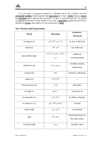It is true that to recognize oneself as a Muslim and to be a believer are two **existential realities** which together take **possession** of a man's **whole** being to **ensure** his **salvation** (*ibid*.). But the Ķur'ān (XLIX, 14 and 17, and still more IX, 74) evokes an explicit profession of *islām* which is in no way a **guarantee** against the sin of *kuƒr*, and has no **saving** value unless it is the expression of **faith**.

| Word               | Meaning                       | synonym /                            |
|--------------------|-------------------------------|--------------------------------------|
|                    |                               | Antonym                              |
| to express $(v)$   | بیان کردن، تأکید کردن         | to say, to declare                   |
| deed(n)            | عمل، رفتار                    | act, behavior                        |
| prescribed (adj)   | مشخص و معین شده، توصیه<br>شده | ordained,<br>recommended             |
| adoration (n)      | پرستش، عبادت                  | worship, praise,<br>admiration       |
| content (n)        | محتوا                         | element, substance                   |
| angel $(n)$        | ملكه فرشته                    |                                      |
| Resurrection (n)   | قيامت                         | Hereafter                            |
| in reply to        | در پاسخ                       | in answer to                         |
| to associate $(v)$ | شریک کردن                     | to share company                     |
| to observe $(v)$   | برپاداشتن، اقامه کردن         | to keep                              |
| ritual (adj)       | آیینی، دینی                   | ceremonial                           |
| ibid               | همان مأخذ                     | aforementioned, in<br>the same place |
| external (adj)     | بيرونى                        | outside, outer                       |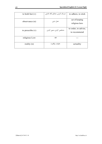| to hold fast $(v)$ | تمسک کردن، محکم نگه داشتن | to adhere, to stick                  |
|--------------------|---------------------------|--------------------------------------|
| observance (n)     | عمل دینی                  | act of keeping<br>religious laws     |
| to prescribe $(v)$ | مشخص كردن، معين كردن      | to order, to advise,<br>to recommend |
| religious Low      | فقه                       |                                      |
| reality $(n)$      | حقيقت، واقعيت             | actuality                            |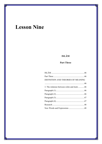# **Lesson Nine**

## **ISLĀM**

## **Part Three**

| DEFINITION AND THEORIES OF MEANING                                |  |
|-------------------------------------------------------------------|--|
|                                                                   |  |
| 3. The relations between <i>islām</i> and $\bar{u}$ <i>mān</i> 46 |  |
|                                                                   |  |
|                                                                   |  |
|                                                                   |  |
|                                                                   |  |
|                                                                   |  |
|                                                                   |  |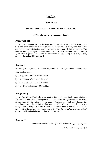## **Part Three**

## **DEFINITION AND THEORIES OF MEANING**

## **3. The relations between** *islām* **and** *īmān*

## **Paragraph (1)**

The essential question of a theological order, which was discussed at a very early time and upon which the schools of *fikh* and *kalām* were divided, was that of the distinction or non-distinction between *islām* and faith, and of their connection. The answers will depend upon the view taken of each of these concepts. We shall not go again into the question of the various definitions of *īmān* [q. v.]. Here, very briefly, are the principal positions adopted.

#### **Question (1)**

According to the passage, the essential question of a theological order at a very early time was that of

- a) the appearance of the twelfth Imam
- b) the existence of the Day of Judgment
- c) the connection between faith and deed
- d) the difference between *islām* and faith

## **Paragraph (2)**

a) The *Mu'tazilī* schools, who identify faith and prescribed works, similarly identify faith with *islām*: it being clearly understood that the right intention, the *nīyya*, is necessary for the validity of the deed ---"actions are valid only through the intentions," says the *hadīth* (al-Bukhārī, ii, 41). Whoever commits a grave transgression of the prescriptions of the Law loses the status of *mu'min* and Muslim, and reverts to the status of *kuƒr* according to the *Khāridjīs*, to an "intermediate status" (between faith and unbelief) according to the Mu'tazilīs.

## **Question (2)**

אست؟" actions are valid only through the intentions" جملۀ دقیق ترجمۀ گزینه کدאم

الف) اعمال تنها به واسطۀ نیات اعتبار دارند.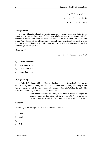ب) اعمال تنها نیات را اعتبار می دهند. ج) اعمال تنها به واسطۀ نیات ارزش می یابند. د) اعمال تنها به نیات ارزش میدهند.

#### **Paragraph (3)**

b) Many Hanafīs (Hanafī-Māturīdīs) similarly consider islām and īmān to be synonymous, but define each of them essentially as verbal confession (*ikrār*), sometimes linking this with intimate adherence, or at other times, following the Murdji'īs, with knowledge of the heart, or both of these. The Hanafī-Māturīdī texts of the *Fikh A kbar I* (doubtless 2nd/8th century) and of the *Wasīyyat Abī Hanīƒa* (3rd/9th century) ignore the question.

#### **Question (3)**

کدام گزینه معادل مناسبی برای «اقرار زبانی» است؟

- a) intimate adherence
- b) grave transgression
- c) verbal confession
- d) intermediate status

#### **Paragraph (4)**

c) In its definition of faith, the Hanbalī line insists upon affirmation by the tongue (*kawl*) and by deeds (*a'māl*), either with or without the addition, according to the texts, of adherence of the heart (*tasdīk*). So much so that al-Barbahārī (d. 329/941) was to say, according to the *Tabakāt al-Hanābila*:

> "We cannot testify to the reality of the faith in a man so long as he does not carry out the totality of the laws of *islām*" (quoted by H. Laoust, *La profession de foi d'Ibn Batta*, Damascus 1958, 82, n. I).

#### **Question (4)**

According to the passage, "adherence of the heart" means:

- a) *a'māl*
- b) *tasdīk*
- c) *kawl*
- d) *ikrār*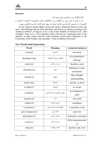

## **Research**

אلف) پارאگرאف زیر رא به فارسی روאن ترجمه کنید. ب) با توجه به متن درس و پارאگرאف زیر، دیدگاههای مذאهب «معتزلی»، «حنفی»، «حنبلی» و «אشعری» رא در خصوص «אرتباط بین אسلام و אیمان»، در چهار سطر خلاصه کرده و به אنگلیسی بنویسد.

d) The Ash'arīs and the Shāfi'ī jurists also made a distinction between *islām* and *īmān*. After defining faith as words and deeds, and then by its content according to the "*hadīth* of Gabriel", al-Ash'arī, in *the credo* of the *Makālāt al-Islāmīyyīn* (ed. 'Abd al-Hamīd, Cairo n.d., i, 322,) identifies islām with the two constituent parts of the *shahāda*, in other words with the verbal testimony which grants admission to the Community of the Prophet, and concludes: "*islām* is different from *īmān*".

| Word                | <b>Meaning</b>           | synonym/Antonym                       |
|---------------------|--------------------------|---------------------------------------|
| essential           | ضروري                    | necessary                             |
| theological (adj)   | الهياتي، مربوط به الهيات | of or pertaining to<br>theology       |
| school $(n)$        | مدرسه و مکتب             | faculties, sects                      |
| distinction (n)     | تمايز                    | difference $\neq$ non-<br>distinction |
| concept(n)          | مفهوم                    | idea, thought,<br>understanding       |
| briefly (adv)       | مختصراً                  | shortly, in short                     |
| to adopt $(v)$      | پذيرفتن                  | to accept                             |
| to identify         | هويت بخشيدن، متحد دانستن | to recognize, to<br>unify             |
| intention $(n)$     | نيت                      | aim, goal                             |
| validity (n)        | درستی، اعتبار            | soundness                             |
| to commit $(v)$     | انجام دادن، مرتكب شدن    | to perform, to do                     |
| grave transgression | گناه کېيره               | great sin                             |
| prescription (n)    | فرمان، دستور             | instruction, command                  |
| to lose $(v)$       | از دست دادن              | fail to keep possession<br>of         |
| statue $(n)$        | حالت، موقعیت             | position, rank, level                 |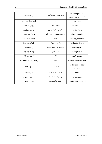|                       | مرتد شدن، از دین برگشتن     | return to previous       |
|-----------------------|-----------------------------|--------------------------|
| to revert $(v)$       |                             | condition or belief      |
|                       |                             |                          |
| intermediate (adj)    | مىانە                       | mediatory                |
|                       |                             |                          |
| verbal (adj)          | شفاهی، زبانی                | spoken, oral             |
|                       |                             |                          |
| confession (n)        | پذيرش، اعتراف و اقرار       | declaration              |
|                       |                             |                          |
| intimate (adj)        | نزدیک، دوستانه و از روی قلب | close, friendly          |
|                       |                             |                          |
| adherence (n)         | تمسك                        | sticking, devotion       |
|                       |                             |                          |
| doubtless (adv)       | بي ترديد، بدون شک           | without a doubt          |
|                       |                             |                          |
| to ignore $(v)$       | ناديده گرفتن، چشم يوشيدن    | to disregard             |
|                       |                             |                          |
| to insist $(v)$       | تأكيد كردن                  | to emphasize             |
|                       |                             |                          |
| affirmation (n)       | تأكيد                       | confirmation             |
|                       |                             |                          |
| so mush so that (con) | به قدری که                  | to such an extent that   |
|                       |                             |                          |
|                       |                             | to declare, to bear      |
| to testify $(v)$      | اقرار کردن                  |                          |
|                       |                             | witness                  |
|                       | تا وقتى كه، ماداميكه        |                          |
| so long as            |                             | while                    |
|                       | اجرا کردن، به کاربستن       |                          |
| to carry out $(v)$    |                             | to perform               |
|                       | كليت، تماميت، تمام          |                          |
| totality $(n)$        |                             | entirely, wholeness, all |
|                       |                             |                          |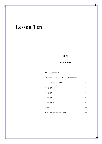# **Lesson Ten**

# **ISLĀM**

## **Part Foure**

| I. DEFINITION AND THEORIES OF MEANING52 |  |
|-----------------------------------------|--|
|                                         |  |
|                                         |  |
|                                         |  |
|                                         |  |
|                                         |  |
|                                         |  |
|                                         |  |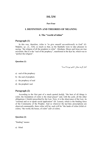## **Part Four**

## **I. DEFINITION AND THEORIES OF MEANING**

## **4. The "world of islām"**

## **Paragraph (1)**

In this way, therefore, *islām* is "to give oneself *unconditionally* to God" (G. Makdisi, *op. cit.*, 324); so much so that, as the Hanbalīs were to take pleasure in saying, "the religion of all the prophets is *islām*". Abraham, Moses and Jesus are true *muslimūn*. But it is the "seal of the prophecy", manifested in the Kur'ān, which was to "perfect the religion".

#### **Question (1)**

کدام گزینه معادل «ختم نبوت» است؟

- a) seal of the prophecy
- b) the seal of prophets
- c) the prophecy of seal
- d) the prophets' seal

## **Paragraph (2)**

According to the first part of a much quoted *hadith*, "the best of all things is *islām*; the foundation of *islām* is the ritual prayer" and, with the *salāt*, all the other obligations (*'ibādāt*) prescribed by the Law. Now, it is the observance of the Law, its "external and so to speak social application" (H. Laoust), which is the binding force of the Community of the Prophet. And so wherever the kur'ānic prescriptions are observed communally, there *islām* will be; such will be "the lands of *islām* (*bilād alislām*), "the world, the house, of *islām*" (*dār al-islām*).

## **Question (2)**

"binding" means:

a) blind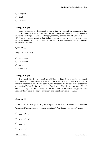- b) obligatory
- c) ritual
- d) prescribed

Such expressions are traditional. It was in this way that, at the beginning of the 5th/11th century, al-Māwardi examined the various categories into which the *bilād alislām* are divided (*al-Ahkām al-sultāniyya*, beginning of chap. xiv, ed. Cairo. n.d., 151 ff.). The implication remains that *islām*, practised in this way, is the testimony, rendered socially, to faith in the One God and to free adherence to the prophetic mission of Muhammad.

## **Question (3)**

"implication" means:

- a) connotation
- b) prescription
- c) category
- d) testimony

## **Paragraph (4)**

The Hanafī Sibt Ibn al-Djawzī (d. 654/1256) in his *Mir'āt al-zamān* mentioned the "purchased" conversions of Jews and Christians, which the Ash'arīs sought to make in Baghdād in the 5th/11th century, and he repeats the protests of the supporters of the *sharīf* Abū Dja'far, a Hanbalī: "This is the *islām* of gifts, not the *islām* of conviction" (quoted by G. Makdisi, op, cit., 356). Abū Hamid al-Ghazālī was similarly to question the degree of validity of a forced conversion to *islām.*

## **Question (4)**

In the sentence: "The Hanafī Sibt Ibn al-Djawzī in his *Mir'āt al-zamān* mentioned the "purchased" conversions of Jews and Christians", "purchased conversions" means:

- گروندگان אجباری (a
- $b)$  گروندگان جزیهای
- مرتدאن אجباری (c
- אتباع خارجی (d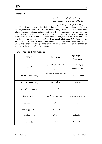

## **Research**

الف) پاراگراف زیر را به فارسی روان ترجمه کنید. ب) جملات وصفی (wh دار) را مشخص کنید. ج) صفتهای موجود در متن را مشخص کنید.

"There is no compulsion in religion" (kur'ān, II, 256), and "religion, in the eyes of God, is in truth *islām*" (III, 19). Even in the writings of those who distinguish most sharply between *īmān* and *islām*, at no time will this reference to inner conviction be found absent. But the point of first importance, for the jurist who is studying and formulating the statutes and laws of the *bilād al-islām*, is not so much the degree of invidual interiorization of the *mukābal* of reciprocal relationship *islām-imān*, as the communal observance of those prescriptions which make *islām*, those *sha'ā'ir alislām* "the blazon of Islam" (L. Massignon), which are symbolized by the banners of the *imāms*, the guides of the Community.

| Word                    | <b>Meaning</b>                   | synonym /              |
|-------------------------|----------------------------------|------------------------|
|                         |                                  | <b>Antonym</b>         |
| unconditionally (adv)   | به طور کامل، بدون هیچ قید و      | completely $\neq$      |
|                         | شرطى                             | conditionally          |
| op. cit. (opera citato) | رجوع کنید به منبعی که پیش از این | in the work cited      |
|                         | ذكر شد.                          |                        |
| so mush so that (con)   | به قدری که                       | to such an extent that |
|                         |                                  |                        |
| seal of the prophecy    | خاتم پیامبری                     |                        |
| to manifest $(v)$       | نشان دادن، تبین کردن             | to present, to show    |
| foundation (n)          | اساس                             | base                   |
| social application      | کاربرد اجتماعی                   |                        |
| binding (adj)           | اجبارى                           | obligatory             |
| whatever (pro)          | هر آنچه                          | whichever              |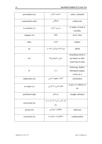| prescription (n) | دستور، فرمان                             | order, command                                                  |
|------------------|------------------------------------------|-----------------------------------------------------------------|
| communally (adv) | همگانی                                   | collectively                                                    |
| to examine $(v)$ | بررسی کردن                               | to study, to look at<br>carefully                               |
| category $(n)$   | طبقه                                     | level, class                                                    |
| chap.            | فصل                                      | chapter                                                         |
| ed.              | ویراستهٔ، ویرایش شده در                  | edited                                                          |
| n.d.             | بدون تاريخ (بي¤ا)                        | something which is<br>not dated, no date,<br>notta bene (Latin) |
| ff.              | به بعد                                   | following, further,<br>subsequent (pages,<br>verses etc.)       |
| implication (n)  | اشاره، مفهوم ضمني                        | connotation                                                     |
| to render $(v)$  | انجام دادن، ادا كردن                     | to give, to submit, to<br>do                                    |
| purchased (adj)  | جزيەاي                                   | bought, obtained                                                |
| conversion (n)   | تغییر کیش و دین از یک دین به دین<br>ديگر |                                                                 |
| protest(n)       | مخالفت، اعتراض                           | objection                                                       |
| conviction (n)   | محكوميت، مجرميت                          | condemnation                                                    |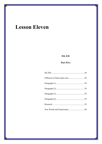# **Lesson Eleven**

# **ISLĀM**

## **Part Five**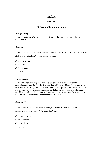## **Part Five**

## **Diffusion of Islam (part one)**

## **Paragraph (1)**

In our present state of knowledge, the diffusion of Islam can only be studied in broad outline.

## **Question (1)**

In the sentence: "In our present state of knowledge, the diffusion of Islam can only be studied in broad outline", "broad outline" means:

- a) extensive plan
- b) wide real
- c) large mount
- d) a & c

## **Paragraph (2)**

In the first place, with regard to numbers, we often have to be content with approximations; nor should it be forgotten that, with the world population increasing at an accelerated pace, even the most accurate statistics prove to be out of date within a few years. Moreover it sometimes happens that in certain countries Muslims and non-Muslims adopt different sets of figures, particularly when these figures serve as the basis for political claims or considerations of honor.

## **Question (2)**

In the sentence: "In the first place, with regard to numbers, we often have to be content with approximations", "to be content" means:

- a) to be complete
- b) to be happen
- c) to be pleased
- d) to be sure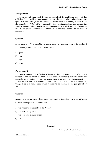In the second place, such figures do not reflect the qualitative aspect of this diffusion. It is possible for conversions on a massive scale to be produced within the space of a few years (as in the case of the Galla tribes in Ethiopia, to the west of Harar, in about 1930-50). But it must not be forgotten that, for these conversions, the way had sometimes been prepared over a long period, by a whole process of maturing and by favorable circumstances which, in themselves, cannot be statistically expressed.

## **Question (3)**

In the sentence: "It is possible for conversions on a massive scale to be produced within the space of a few years", "scale" means:

- a) space
- b) pace
- c) area
- d) peace

## **Paragraph (4)**

**General Survey:** The diffusion of Islam has been the consequence of a certain number of factors which are more or less easily discernable; over and above the particular attraction this religious movement has exerted upon men, the personality of its first leaders and the economic circumstances of Arabia at the time, among other things, there is a further point which requires to be examined - the part played by wars.

#### **Question (4)**

According to the passage, which factor has played an important role in the diffusion of Islam and requires to be examined?

- a) the attractive personality of the Prophet
- b) the outstanding leaders
- c) the economic circumstances
- d) wars

#### **Research**

الف) پاراگراف زیر را به فارسی روان ترجمه کنید.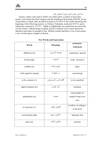

ب) اسامی علم و اسامی جمع را مشخص کنید.

Tunisia, where a first raid in 26*/*647 was followed by a respite of more than twenty years before the final conquest and the founding of Kayrawān (50/670). So too Transoxiana to which, after an initial invasion in 52-4/672-4, the Arabs returned at the beginning of the following century; or Chinese Turkestān, reached in 93/713, and to which they returned in 133/751. Kābūl in Afghānistān was reached by the end of the 1st/7th century, without being occupied, and two centuries were to pass before the Muslims came back in strength to stay. Muslim warfare had been a war of movement, a war of wide spaces, steppes or deserts.

| Word                  | <b>Meaning</b>      | synonym /<br>Antonym                           |
|-----------------------|---------------------|------------------------------------------------|
| diffusion (n)         | توسعه، گسترش        | expansion, spread                              |
| broad (adj)           | گستر ده             | wide, extensive                                |
| outline (n)           | طرح، برنامه         | plan                                           |
| with regard to (prep) | در رابطه با         | concerning                                     |
| to be content $(v)$   | قانع شدن، راضی بودن | to be satisfied                                |
| approximation (n)     | آمار، تقریب         | estimate                                       |
| population (n)        | جمعيت               | total number of<br>people living in an<br>area |
| to increase $(v)$     | افزايش يافتن        | to add to, to enlarge $\neq$<br>to decrease    |
| accelerated (adj)     | شتابان، سريع        | hastened, fast                                 |
| pace(n)               | مقياس، اندازه       | measure                                        |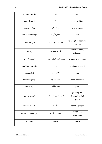| accurate (adj)    | دقيق                   | exact                                    |
|-------------------|------------------------|------------------------------------------|
| statistics (n)    | آمار                   | numerical fact                           |
| to prove $(v)$    | اثبات كردن             | to give reason                           |
| out of date (adj) | قديمي، كهنه            | old                                      |
| to adopt $(v)$    | پذيرفتن، قبول كردن     | to accept, to approve,<br>to admit       |
| set(n)            | گروه، مجموعه           | group of items,<br>collection            |
| to reflect $(v)$  | نشان دادن، انعکاس دادن | to show, to represent                    |
| qualitative (adj) | کیفی                   | pertaining to quality                    |
| aspect $(n)$      | بخش، جنبه              | side                                     |
| massive (adj)     | فراوان، انبوه          | huge, enormous                           |
| scale(n)          | معيار، مقياس           | pace                                     |
| maturing (n)      | كمال، بلوغ و رشد كامل  | growing up,<br>developing, full<br>grown |
| favorable (adj)   | مناسب                  | suitable, proper                         |
| circumstances (n) | شرايط، اتفاقات         | conditions,<br>happenings                |
| survey $(n)$      | بررسى                  | review                                   |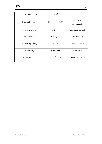

| consequence (n)     | نتيجه                 | result                      |
|---------------------|-----------------------|-----------------------------|
| discernable (adj)   | قابل توجه، قابل تمايز | noticeable,<br>recognizable |
| over and above      | گذشته از این          | above and beyond            |
| attraction (n)      | كشش، جاذبه            | attractiveness              |
| to exert upon $(v)$ | به کار بردن           | to use, to apply            |
| further (adj)       | زیادی، بیش تر         | extra, more                 |
| to require $(v)$    | درخواست کردن          | to ask, to demand           |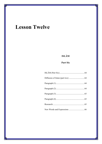# **Lesson Twelve**

# **ISLĀM**

## **Part Six**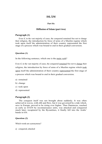## **Part Six**

## **Diffusion of Islam (part two)**

## **Paragraph (1)**

Even if, in the vast majority of cases, the conquered remained free not to change their religion, the introduction by force of arms of a Muslim regime which took upon itself the administration of their country represented the first stage of a process which was bound to end in their gradual conversion.

## **Question (1)**

In the following sentence, which one is the main verb?

Even if, in the vast majority of cases, the conquered remained free not to change their religion, the introduction by force of arms of a Muslim regime which took upon itself the administration of their country represented the first stage of a process which was bound to end in their gradual conversion.

- a) remained
- b) change
- c) took upon
- d) represented

## **Paragraph (2)**

The conquest itself was not brought about suddenly. It was often achieved in waves, with ebb and flow, but it was governed by a tide which, save in Europe, proved to be rising ever higher. Thus Damascus, reached as early as I3/634 by reconnaissance units, was attacked and conquered much later; recaptured by the Byzantines, it finally fell into the Arabs' bands in 636.

## **Question (2)**

Which words are synonymous?

a) conquered, attacked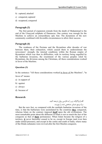- 65
- b) captured, attacked
- c) conquered, captured
- d) recaptured, conquered

The first period of expansion extends from the death of Muhammad to the end of the Umayyad caliphate of Damascus. One century was enough for the Muslims to achieve an extraordinary epic feat. The dynamism of the new community combined with favorable circumstances to allow their success.

## **Paragraph (4)**

The weakness of the Persians and the Byzantines after decades of war between them, their exhaustion, which caused them to underestimate the newcomers' strength, the internal conditions within the Roman empire of Byzantium which was then in difficulties, with its territory being engulfed by the barbarian invasions, the resentment of the various peoples ruled by Byzantium, the divisions among the Christians, all these considerations worked in favor of the Muslims.

#### **Question (3)**

In the sentence: "All these considerations worked in favor of the Muslims", "in favor of" means:

- a) in support of
- b) against
- c) always
- d) because of

## **Research**

الف) پاراگراف زیر را به فارسی روان ترجمه کنید. ب) مرجع ضمایر مشخص شده را بنویسد.

But the new fact, as compared with the multiple barbarian invasions of the time, is that the barbarians were assimilated by the countries **they** conquered, whereas Islam on the contrary imposed **itself** upon the old civilizations. The most remarkable point about the diffusion of Islam is not so much the fact of the conquests as that of **their** permanence. When Islam became the religion of a territory, **it** never thereafter ceased to be so, except in Europe (and even then under armed pressure), and except in the centre and south of India, where many of the Hindu sultanates were revived after the first Muslim conquests.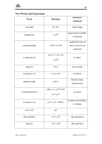

| Word                 | Meaning                          | synonym /                                               |
|----------------------|----------------------------------|---------------------------------------------------------|
|                      |                                  | Antonym                                                 |
| vast (adj)           | بسيار زياد                       | large, huge                                             |
| majority (n)         | اكثريت                           | greater part or number<br>$\neq$ minority               |
| conquered (adj)      | فتح شده، مغلوب                   | acquired by force of<br>arms or won in war,<br>captured |
| to represent $(v)$   | نشان دادن، به نمایش<br>گذاردند   | to show                                                 |
| stage $(n)$          | مرحله                            | level, point                                            |
| to bound to $(v)$    | منجر شدن به                      | to lead to                                              |
| gradual (adj)        | تدريجي                           | little by little,<br>progressive                        |
| to bring about $(v)$ | فراهم كردن، سبب وقوع<br>امرى شدن | to cause                                                |
| to achieve $(v)$     | با موفقيت كسب كردن               | to gain successfully,<br>to obtain                      |
| wave $(n)$           | موج                              |                                                         |
| ebb and flow         | فراز و نشیب                      | ups and downs                                           |
| tide $(n)$           | فراز و نشیب                      | ebb and flow                                            |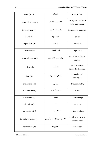| save (prep)          | مگر، الاّ                | except, but                                |  |
|----------------------|--------------------------|--------------------------------------------|--|
| reconnaissance (n)   | شناسایی، اکتشاف          | survey, collection of<br>data, exploration |  |
| to recapture (v)     | بازتصرف كردن             | to retake, to repossess                    |  |
| band(n)              | باند، گروه               | group                                      |  |
| expansion (n)        | توسعه                    | diffusion                                  |  |
| to extend $(v)$      | طول كشيدن                | to prolong                                 |  |
| extraordinary (adj)  | فوق العاده، شگفتأور      | out of the ordinary,<br>unusual            |  |
| epic (adj)           | حماسی                    | poem or story of<br>heroic deeds, heroic   |  |
| feat $(n)$           | شاهکار، کار بزرگ         | outstanding act,<br>masterpiece            |  |
| dynamism (n)         | پويايي                   | dynamic quality                            |  |
| to combine $(v)$     | در هم امیخت <u>ن</u>     | to mix                                     |  |
| weakness (n)         | ضعف                      | disadvantage                               |  |
| decade(n)            | دهه                      | ten years                                  |  |
| exhaustion (n)       | خستگی و ضعف              | boring, tiredness                          |  |
| to underestimate (v) | تخمین کم زدن، کم برآوردن | to fail to guess $\neq$ to<br>overestimate |  |
| newcomer(n)          | تازەگرويدە               | new person                                 |  |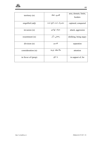

| territory $(n)$    | قلمرو، خطه         | area, domain, limits,<br>borders |  |
|--------------------|--------------------|----------------------------------|--|
| engulfed (adj)     | متصرف شده، فتح شده | captured, conquered              |  |
| invasion (n)       | حمله، تهاجم        | attack, aggression               |  |
| resentment (n)     | رنجش، أزار         | disliking, being angry           |  |
| division(n)        | تقسيم              | separation                       |  |
| consideration (n)  | ملاحظه، توجه       | attention                        |  |
| in favor of (prep) | به نفع             | in support of, for               |  |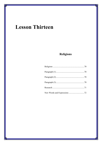# **Lesson Thirteen**

# **Religions**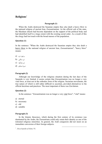### **Religions**<sup>1</sup>

#### **Paragraph (1)**

When the Arabs destroyed the Sasanian empire they also dealt a heavy blow to the national religion of ancient Iran, Zoroastrianism. As the official cult of the state, the Mazdean church had become dependent on the support of the political body and had identified itself to a large extent with the existing social order. As a result of this the clergy had lost touch with the broad masses of the population.

#### **Question (1)**

In the sentence: "When the Arabs destroyed the Sasanian empire they also dealt a heavy blow to the national religion of ancient Iran, Zoroastrianism", "heavy blow" means:

- برخورد نرم (a
- تیر سنگین (b
- تیر زهرآلود (c
- ضربۀ محکم (d

#### **Paragraph (2)**

Although our knowledge of the religious situation during the last days of the Sasanids is very limited, it seems certain that Zoroastrianism was no longer a very vital force, at least not in the orthodox form of the religion. Sectarian movements, the true nature of which is still rather difficult to ascertain, provided alternatives to the official doctrines and practices. The most important of these was Zurvānism.

#### **Question (2)**

In the sentence: "Zoroastrianism was no longer a very vital force", "vital" means:

- a) eternal
- b) necessary
- c) old
- d) suitable

#### **Paragraph (3)**

In the Islamic theocracy, which during the first century of its existence was dominated by the Arabs, the Zoroastrians could only retain their identity as one of the tolerated religious minorities. In general, the Arab conquerors did not insist on an immediate conversion of their foreign subjects.

1 . *Encyclopedia of Islam*, VI.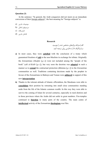#### **Question (3)**

In the sentence: "In general, the Arab conquerors did not insist on an immediate conversion of their foreign subjects", the best meaning for "foreign subjects" is:

- موضوعات خارجی (a
- $b)$  سرزمینهای اشغالی
- אتباع بیگانه (c
- فاتحان خارجی (d

#### **Research**

الف) مترادف واژههای مشخص شده را بنویسید. ب) پاراگراف b را به فارسی روان ترجمه کنید.

- **a)** In most cases, they were **satisfied** with the conclusion of a treaty which guaranteed freedom of **cult** to the non-Muslims in exchange for tribute. Originally the Zoroastrians (*Madjūs* [*q.v.*]) were not included among the "people of the book" (*ahl al-Kitāb* [*q.v.*]), but very soon the doctrine was **adapted** in such a manner as to **extend** the contractual protection (dhimma  $[q, v]$ ) to the Zoroastrian communities as well. Traditions containing decisions made by the prophet in favour of the Zoroastrians in Bahrayn and Yaman were **adduced** in support of this new **interpretation**.
- **b)** Thanks to the tolerant attitude of Islamic officialdom, the Mazdeans were able to **consolidate** their position by retreating into small close communities standing aside from the life of the Islamic common wealth. In this way they were able to survive the coming of Islam for several centuries, especially in rural districts and in those provinces where the Arabs did not settle in great numbers. Fire-temples continued to **function** in many parts of the country. The main centre of **intellectual** activity of the Zoroastrian **theologians** was Fārs.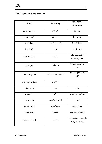| Word                    | <b>Meaning</b>           | synonym /<br><b>Antonym</b>                 |  |
|-------------------------|--------------------------|---------------------------------------------|--|
| to destroy $(v)$        | خراب کردن                | to ruin                                     |  |
| empire $(n)$            | امپراطوری                | kingdom                                     |  |
| to deal $(v)$           | وارد كردن [ضربه]         | hit, deliver                                |  |
| blow $(n)$              | ضربه                     | hit, knock                                  |  |
| ancient (adj)           | باستان، قديم             | old, earliest $\neq$<br>modern, new         |  |
| $\text{curl}(\text{n})$ | عقيده، آيين              | belief, opinion,<br>tenet                   |  |
| to identify $(v)$       | یکی دانستن هویتیابی کردن | to recognize, to<br>unify                   |  |
| to a large extent       | تا حد زیادی              |                                             |  |
| existing $(n)$          | موجود                    | being                                       |  |
| order(n)                | نظم                      | grouping, ranking                           |  |
| clergy (n)              | فرد روحانی، کشیش         | priest                                      |  |
| broad (adj)             | وسيع، گسترده             | wide, large                                 |  |
| masses(n)               | تودەھا، مردم             | people, persons                             |  |
| population (n)          | جمعيت                    | total number of people<br>living in an area |  |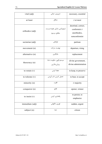| vital (adj)       | ضروری، حیات <i>ی</i>                        | necessary, essential                                                     |
|-------------------|---------------------------------------------|--------------------------------------------------------------------------|
| at least          | حداقل                                       | $\neq$ at most                                                           |
| orthodox (adj)    | ارتودوكس، داراي عقيدهٔ درست،<br>مطابق مرسوم | doctrinal, correct,<br>conformist $\neq$<br>unorthodox,<br>nonconformist |
| sectarian (adj)   | فرقهاى                                      | partisan                                                                 |
| movement (n)      | نهضت، حركت                                  | departure, rising                                                        |
| alternative (n)   | جايگزين                                     | replacement                                                              |
| theocracy (n)     | سيستم الهي، حكومت خدا،<br>یزدان سالاری      | divine government,<br>divine administration                              |
| to retain $(v)$   | حفظ کردن                                    | to keep, to preserve                                                     |
| to tolerate $(v)$ | تحمل كردن، تاب آوردن                        | to bear, to accept                                                       |
| minority (n)      | اقليت                                       | $\neq$ majority                                                          |
| conqueror (n)     | فاتح                                        | opener, winner                                                           |
| to insist $(v)$   | پافشاری کردن                                | to persist, to<br>emphasize                                              |
| immediate (adj)   | فورى، ناگهانى                               | sudden, urgent                                                           |
| subject $(n)$     | تبعه                                        | citizen                                                                  |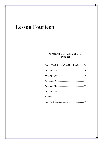# **Lesson Fourteen**

## **Quran: The Miracle of the Holy Prophet**

| Quran: The Miracle of the Holy Prophet76 |  |
|------------------------------------------|--|
|                                          |  |
|                                          |  |
|                                          |  |
|                                          |  |
|                                          |  |
|                                          |  |
|                                          |  |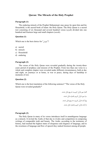#### **Quran: The Miracle of the Holy Prophet**

#### **Paragraph (1)**

The enduring miracle of the Prophet Muhammad, may peace be upon him and his Household, is the sacred book of Islam: the Holy Quran. The Holy Quran is a sacred text consisting of six thousand and several hundred verses (*ayah*) divided into one hundred and fourteen large and small chapters (*surah*).

#### **Question (1)**

Which one is the best choice for "جاودאن ?"

- a) sacred
- b) miracle
- c) Household
- d) enduring

#### **Paragraph (2)**

The verses of the Holy Quran were revealed gradually during the twenty-three years period of prophecy and mission of the Prophet. From less than one verse to a whole and complete chapter were revealed under different circumstances, both at day and night, on journeys or at home, in war or peace, during days of hardship or moments of rest.

#### **Question (2)**

Which one is the best translation of the following sentence? "The verses of the Holy Quran were revealed gradually**"** 

> אلف) سور قرآن کریم به تدریج نازل شدند. ب) سور قرآن کریم یکباره نازل شدند. ج) آیات قرآن کریم به تدریج نازل شدند. د) آیات قرآن کریم یکباره نازل شدند.

#### **Paragraph (3)**

The Holy Quran in many of its verses introduces itself in unambiguous language as a miracle. It invited the Arabs of that day to rivalry and competition in composing writings of comparable truth and beauty. The Arabs, according to the testimony of history, had reached the highest states of eloquence and elegance of language, and in the sweetness of language and flow of speech they ranked foremost among all people.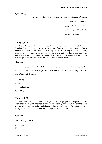#### **Question (3)**

وאژههای "eloquence"،" elegance"،"sweetness "و "flow "به ترتیب یعنی:

الف) فصاحت، بلاغت، حلاوت و روانی

ب) بلاغت، فصاحت، حلاوت و روאنی

ج) فصاحت، بلاغت، روאنی و حلاوت

د) بلاغت، فصاحت، روאنی و حلاوت

#### **Paragraph (4)**

The Holy Quran claims that if it be thought of as human speech, created by the Prophet Himself or learned through instructions from someone else, then the Arabs should be able to produce its like or ten chapters like it, or a single one of its verses, making use of whatever means were at their disposal to achieve this end. The celebrated Arab men of eloquence claimed in answer to this request that the Quran was magic and it was thus impossible for them to produce its like.

#### **Question (4)**

In the sentence: "The celebrated Arab men of eloquence claimed in answer to this request that the Quran was magic and it was thus impossible for them to produce its like", "celebrated' means:

- a) strong
- b) old
- c) outstanding
- d) young

#### **Paragraph (5)**

Not only does the Quran challenge and invite people to compete with its eloquence and elegant language, but also it occasionally invites rivalry from the point of view of its meaning and thus challenges all the mental powers of men and *jinn*, for the Quran is a book containing the total program for human life.

#### **Question (5)**

"occasionally" means:

- a) always
- b) never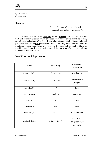

c) sometimes

d) constantly

#### **Research**

الف) پاراگراف زیر را به فارسی روان ترجمه کنید. ب) متضاد واژههای مشخص شده را بنویسید.

If we investigate the matter **carefully** we will **discover** that God has made this **vast** and **extensive** program which embraces every aspect of the **countless** beliefs, ethical forms and actions of mankind. It also takes into account all of their **details** and particularities to be the **truth** (*hakk*) and to be called religion of the truth. Islam is a religion whose injunctions are based on the truth and the real **welfare** of mankind, not the desires and inclinations of the **majority** of men or the whims of a single, **powerful** ruler.

| Word             | <b>Meaning</b>         | synonym /            |
|------------------|------------------------|----------------------|
|                  |                        | <b>Antonym</b>       |
| enduring (adj)   | جاودان، همیشگی         | everlasting          |
| household (n)    | خاندان، اهلبيت         | descendent,          |
|                  |                        | progeny              |
| sacred (adj)     | مقدس                   | holy                 |
| to consist $(v)$ | دربر داشتن             | to conclude          |
| verse(n)         | آيه                    | āya                  |
| chapter $(n)$    | سوره                   | sūra                 |
| to reveal $(v)$  | نازل كردن              | to send down         |
|                  | به تدریج، به مرور زمان | step by step,        |
| gradually (adv)  |                        | progressively $\neq$ |
|                  |                        | suddenly,            |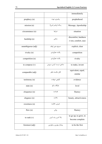|                   |                                | immediately                                        |
|-------------------|--------------------------------|----------------------------------------------------|
| prophecy (n)      | پیامبری، نبوت                  | prophethood                                        |
| mission (n)       | رسالت [پیامبر (ص)]             | Message, Apostleship                               |
| circumstance (n)  | شرايط                          | situation                                          |
| hardship (n)      | سختی                           | discomfort, hardness<br>$\neq$ rest, comfort, ease |
| unambiguous (adj) | صريح، بدون ابهام               | explicit, clear                                    |
| rivalry (n)       | رقابت، همآوردي                 | competition                                        |
| competition (n)   | رقاب <i>ت،</i> همآورد <i>ی</i> | rivalry                                            |
| to compose (v)    | ساختن، درست کردن، سرودن        | to make, invent                                    |
| comparable (adj)  | قابل مقايسه، نظير              | equivalent, equal,<br>similar                      |
| testimony (n)     | گواهی، شهادت                   | evidence                                           |
| state $(n)$       | جايگاه، سكو                    | level                                              |
| eloquence (n)     | فصاحت                          | fluency                                            |
| elegance (n)      | بلاغت                          | beauty, attractiveness                             |
| sweetness (n)     | شيرني، حلاوت                   |                                                    |
| flow $(n)$        | رواني                          | fluency                                            |
| to rank $(v)$     | بالا آمدن، رشد كردن            | to go up, to grow, to<br>become complete           |
| foremost (adj)    | پیشتاز، بهترین و جلوترین       | to be the first                                    |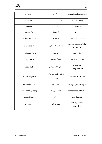

| to claim $(v)$     | ادعا كردن                            | to declare, to maintain            |
|--------------------|--------------------------------------|------------------------------------|
| instruction (n)    | فرمان، دستور، راهنمایی               | leading, order                     |
| to produce $(v)$   | ساختن، تولید کردن                    | to make                            |
| means(n)           | ابزار، وسيله                         | tools                              |
| at disposal (adj)  | در دسترس                             | in access, in hand                 |
| to achieve $(v)$   | با موفقیت کسب کردن                   | to gain successfully,<br>to obtain |
| celebrated (adj)   | برجسته                               | outstanding                        |
| request $(n)$      | تقاضا، درخواست                       | demand, asking                     |
| magic (adj)        | سحر، جادو، غيرواقعي                  | wizardry,<br>imaginative           |
| to challenge $(v)$ | به چالش طلبیدن، به مبارزره<br>طلبيدن | to dare, to invite                 |
| to compete $(v)$   | رقابت کردن                           | to fight, to struggle              |
| occasionally (adv) | گهگاه، بعضی اوقات                    | sometimes, at times                |
| mental (adj)       | ذهنى                                 | intellectual                       |
| total (adj)        | همه، سرتاسر                          | entire, whole,<br>complete         |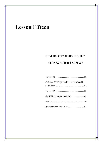# **Lesson Fifteen**

# **CHAPTERS OF THE HOLY QURĀN**

## **AT-TAKATHUR and AL-MAUN**

| AT-TAKATHUR (the multiplication of wealth |  |
|-------------------------------------------|--|
|                                           |  |
|                                           |  |
|                                           |  |
|                                           |  |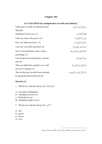## **Chapter 102**

| $AT-TAKATHUR$ (the multiplication of wealth and children) <sup>2</sup> |                                                    |  |
|------------------------------------------------------------------------|----------------------------------------------------|--|
| In the name of Allah, the Beneficent, the                              | ِ بِسْمِ اللَّه الرَّحْمَنِ الرَّحِيمِ             |  |
| Merciful                                                               |                                                    |  |
| Abundance diverts you, (1)                                             | أَلْهَاكُمُ التَّكَاثُرُ (١)                       |  |
| Until you come to the graves $(2)$                                     | حَتَّى زُرْتُمُ الْمَقَابِر <sup>َ</sup> (٢)       |  |
| Nay! you shall soon know, (3)                                          | كَلَّا سَوْفَ تَعْلَمُونَ (٣)                      |  |
| Uay! nay! you shall soon know $(4)$                                    | ثُمَّ كَلَّا سَوْفَ تَعْلَمُونَ (۴)                |  |
| Nay! if you had known with a certain                                   | كَلَّا لَوْ تَغْلَمُونَ عِلْمَ الْيَقِينِ (۵)      |  |
| knowledge, $(5)$                                                       |                                                    |  |
| You should most certainly have seen the                                | لَتَرَوُنَّ الْجَحِيمَ (۶)                         |  |
| hell; $(6)$                                                            |                                                    |  |
| Then you shall most certainly see it with                              | ثُمَّ لَتَرَوَّنَّهَا عَيْنَ الْيَقينِ (٧)         |  |
| the eye of certainty; $(7)$                                            |                                                    |  |
| Then on that day you shall most certainly                              | ثُمَّ لَتُسْأَلُنَّ يَوْمَئِذٍ عَنِ النَّعِيمِ (٨) |  |
| be questioned about the boons $(8)$                                    |                                                    |  |

#### **Question (1)**

|  |  |  |  |  | 1. Which one is the best choice for "أَلْهَاكُمُ التَّكَاثُرُ" |
|--|--|--|--|--|----------------------------------------------------------------|
|--|--|--|--|--|----------------------------------------------------------------|

- a) You pride of abundance
- b) Abundance diverts you
- c) Pride diverts you
- d) Abundance prides of you
- 2. Which one is the best choice for "النَّعِيمِ"?
- a) hell
- b) graves
- c) boons
- d) eyes

<sup>.</sup> مبنای ترجمۀ سورهها ترجمۀ אنگلیسی قرآن کریم אز آقای محمد شاکر میباشد. <sup>2</sup>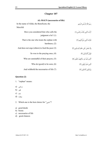### **Chapter 107**

| <b>AL-MAUN</b> (necessaries of life)              |                                              |  |
|---------------------------------------------------|----------------------------------------------|--|
| In the name of Allah, the Beneficent, the         | بسْم اللَّه الرَّحْمَنِ الرَّحيمِ            |  |
| Merciful                                          |                                              |  |
| Have you considered him who calls the             | أَرَأَيْتَ الَّذي يُكَذِّبُ بالدِّينِ (١)    |  |
| judgment a lie? (1)                               |                                              |  |
| That is the one who treats the orphan with        | فَذَلكَ الَّذي يَدُعُّ الْيَتِيمَ (٢)        |  |
| harshness, $(2)$                                  |                                              |  |
| And does not urge (others) to feed the poor $(3)$ | وَلَا يَحُضُ عَلَى طَعَامِ الْمسْكينِ (٣)    |  |
| So woe to the praying ones, $(4)$                 | فَوَيْلُ لِّلْمُصَلِّينَ (۴)                 |  |
| Who are unmindful of their prayers, $(5)$         | الَّذِينَ هُمْ عَنِ صَلَاتِهِمْ سَاهُونَ (۵) |  |
| Who do $(good)$ to be seen, $(6)$                 | الَّذِينَ هُمْ يُرَاؤُونَ (۶)                |  |
| And withhold the necessaries of life (7)          | وَيَمْنَعُونَ الْمَاعُونَ (٧)                |  |

#### **Question (2)**

- 1. "orphan" means:
- مسکین (a
- فقیر (b
- یتیم (c
- بیچاره (d

2. Which one is the best choice for "ماعون ?"

- a) good deeds
- b) boons
- c) necessaries of life
- d) good chances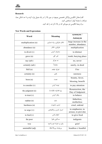

#### **Research**

الف) معادل انگلیسی واژگان تخصصی موجود در سور بالا را در یک جدول وارد کرده و تا حد امکان معنا، مترادف یا متضاد آنها را مشخص کنید. ب) ترجمۀ انگلیسی دو سورهای که در بالا ذکر شد را نقد کنید.

|                            |                                  | synonym /                                  |
|----------------------------|----------------------------------|--------------------------------------------|
| Word                       | <b>Meaning</b>                   | Antonym                                    |
| multiplication (n)         | تکاثر، فراوانی، زیاد شماری       | large increase in the<br>number, abundance |
| abundance (n)              | فراواني، تكاثر                   | multiplication                             |
| to divert $(v)$            | منحرف كردن                       | to distract                                |
| grave(n)                   | قبر، گور                         | tomb, burying place                        |
| nay (adv)                  | نه، هرگز                         | no, never                                  |
| certainly (adv)            | مطمئناً                          | surely, in deed                            |
| Hell(n)                    | دوزخ، جهنم                       | Fire                                       |
| certainty (n)              | يقين                             | sureness                                   |
|                            | نعمت                             | bounty, favor,                             |
| boon(n)                    |                                  | blessing, benefit                          |
| to consider $(v)$          | توجه کردن                        | to pay attention                           |
| the judgment (n)           | روز قضاوت (قيامت)                | Resurrection, the<br>Day of Judgment       |
| to treat $(v)$             | رفتار كردن                       | to behave                                  |
|                            |                                  |                                            |
| orphan(n)                  | يتيم                             | fatherless,<br>motherless                  |
| harshness $(n)$            | تندى، خشونت                      | cruel, unkind                              |
| to $\text{urge}(\text{v})$ | اصرار كردن، برانگيختن            | to emphasize, to<br>arouse, to provoke     |
|                            | اطعام دادن                       |                                            |
| to feed $(v)$              |                                  | to give food                               |
| the poor                   | مساكين، فقرا                     | indigents                                  |
| woe                        | وا <i>ی</i> بر، فریاد غم و اندوه | grief                                      |
| unmindful (adj)            | بي توجه، بي ملاحظه               | headless $\neq$ headful                    |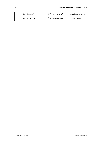| to withhold $(v)$    | منع كردن، مضايقه كردن  | to refuse to give |
|----------------------|------------------------|-------------------|
| $n$ ecessaries $(n)$ | ماعون (نیازهای روزمره) | daily needs       |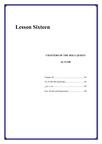# **Lesson Sixteen**

# **CHAPTERS OF THE HOLY QURĀN**

### **AL-FAJR**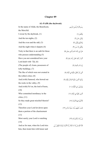# **Chapter 89**

| AL-FAJR (the daybreak) |  |
|------------------------|--|
|------------------------|--|

| In the name of Allah, the Beneficent,    | بسْم اللَّه الرَّحْمَنِ الرَّحيمِ                                                           |
|------------------------------------------|---------------------------------------------------------------------------------------------|
| the Merciful.                            |                                                                                             |
| I swear by the daybreak, (1)             | وَالْفَجْرِ (١)                                                                             |
| And the ten nights, $(2)$                | وَلَيَالٍ عَشْرٍ (٢)                                                                        |
| And the even and the odd, $(3)$          | وَالشَّفْعِ وَالْوَتْرِ (٣)                                                                 |
| And the night when it departs (4)        | وَاللَّيْلِ إِذَا يَسْرِ (۴)                                                                |
| Truly in that there is an oath for those | هَلْ في ذَلكَ قَسَمٌ لِّذي حجْرِ (۵)                                                        |
| who possess understanding $(5)$          |                                                                                             |
| Have you not considered how your         | أَلَمْ تَرَ كَيْفَ فَعَلَ رَبُّكَ بِعَاد (۶)                                                |
| Lord dealt with $\hat{A}$ d, (6)         |                                                                                             |
| (The people of) Aram, possessors of      | إِرَمَ ذَاتِ الْعمَادِ (٧)                                                                  |
| lofty buildings, (7)                     |                                                                                             |
| The like of which were not created in    | الَّتي لَمْ يُخْلَقْ مثْلُهَا في الْبِلَاد (٨)                                              |
| the (other) cities; $(8)$                |                                                                                             |
| And (with) Samood, who hewed out         | وَثَمُودَ الَّذينَ جَابُوا الصَّخْرَ بالْوَاد (٩)                                           |
| the rocks in the valley, $(9)$           |                                                                                             |
| And (with) Fir'on, the lord of hosts,    | وَفَرْعَوْنَ ذي الْأَوْتَاد (١٠)                                                            |
| (10)                                     |                                                                                             |
| Who committed inordinacy in the          | الَّذينَ طَغَوْا في الْبِلَاد (١١)                                                          |
| cities, $(11)$                           |                                                                                             |
| So they made great mischief therein?     | فَأَكْثَرُوا فِيهَا الْفَسَادَ (١٢)                                                         |
| (12)                                     |                                                                                             |
| Therefore your Lord let down upon        | فَصَبَّ عَلَيْهِمْ رَبُّكَ سَوْطَ عَذَابِ (١٣)                                              |
| them a portion of the chastisement       |                                                                                             |
| (13)                                     |                                                                                             |
| Most surely your Lord is watching        | إِنَّ رَبَّكَ لَبِالْمِرْصَادِ (١۴)                                                         |
| (14)                                     |                                                                                             |
| And as for man, when his Lord tries      | فَأَمَّا الْإِنسَانُ إِذَا مَا ابْتَلَاهُ رَبُّهُ فَأَكْرِمَهُ وَنَعَّمَهُ فَيَقُولُ رَبِّي |
| him, then treats him with honor and      |                                                                                             |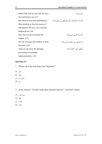| makes him lead an easy life, he says: | أَكْرَمَنِ (١۵)                                                                         |
|---------------------------------------|-----------------------------------------------------------------------------------------|
| my lord honors me $(15)$              |                                                                                         |
| but when he tries him (differently),  | وَأَمَّا إِذَا مَا ابْتَلَاهُ فَقَدَرَ عَلَيْه رِزْقَهُ فَيَقُولُ رَبِّي أَهَانَنِ (١۶) |
| then straitens to him his means of    |                                                                                         |
| subsistence, He says: my Lord has     |                                                                                         |
| disgraced me $(16)$                   |                                                                                         |
| Nay! but you do not honor the         | كَلَّا بَلِ لَّا تُكْرِمُونَ الْيَتِيمَ (١٧)                                            |
| orphan, $(17)$                        |                                                                                         |
| Nor do you urge one another to feed   | وَلَا تَحَاضُّونَ عَلَى طَعَامِ الْمسْكين (١٨)                                          |
| the poor, $(18)$                      |                                                                                         |
| And you eat away the heritage,        | وَتَأْكُلُونَ التُّرَاثَ أَكْلًا لَّمًّا (١٩)                                           |
| devouring (everything)                |                                                                                         |
| indiscriminately, (19)                |                                                                                         |

#### **Question (1)**

- 1. Which one is the best choice for "daybreak"?
- فجر (a
- طلوع (b
- شفع و وتر (c
- واد (d
- 2. in the sentence: "So they made great mischief therein?", "mischief" means:
- سوط عذאب (a
- אلوאد (b
- אلفساد (c
- אلعماد (d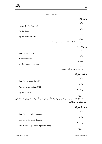| مقايسة تطبيقي |  |
|---------------|--|
|               |  |

|                                                                                              | وَالْفَجْرِ (١)                                                         |
|----------------------------------------------------------------------------------------------|-------------------------------------------------------------------------|
|                                                                                              | شاكر:                                                                   |
| I swear by the daybreak,                                                                     | قرائي:                                                                  |
| By the dawn                                                                                  | يوسف على:                                                               |
| By the Break of Day                                                                          |                                                                         |
|                                                                                              | الميزان:<br>إنّ المراد به مطلق الفجر ولا يبعد أن يراد به فجر يوم النحر. |
|                                                                                              | وَلَيَالٍ عَشْرٍ (٢)                                                    |
| And the ten nights,                                                                          | شاكر:                                                                   |
|                                                                                              | قرائي:                                                                  |
| by the ten nights                                                                            | يوسف على:                                                               |
| By the Nights twice five                                                                     | الميزان:                                                                |
|                                                                                              | لعلِّ المراد بها العشر من أول ذي حجة                                    |
|                                                                                              | وَالشَّفْعِ وَالْوَتْرِ (٣)                                             |
|                                                                                              | شاكر:                                                                   |
| And the even and the odd                                                                     | قرائي:                                                                  |
| And the Even and the Odd                                                                     |                                                                         |
| By the Even and Odd                                                                          | يوسف على:                                                               |
| يقبل الإنطباق على يوم التروية ويوم عرفة وهو الأنسب على تقدير أن يراد بالفجر وليال عشر فجر ذى | الميزان:<br>حجة والعشر أول من لياليها.                                  |
|                                                                                              | وَاللَّيْلِ إِذَا يَسْرِ (٤)                                            |
|                                                                                              | شاكر:                                                                   |
| And the night when it departs                                                                |                                                                         |
| by the night when it departs!                                                                | قرائي:                                                                  |
|                                                                                              |                                                                         |
| And by the Night when it passeth away                                                        | يوسف على:<br>الميزان:                                                   |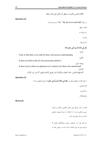فاللام للجنس فالمراد به مطلق آخر اللیل قیل لیلة مزدلفة. אلف) در طول **هَلْ فِي ذَلِكَ قَسَمٌ لِّذِي حِجْرٍ ﴿٥﴾** شاكر: Truly in that there is an oath for those who possess understanding قرائی: Is there an Oath in that for one possessing intellect? یوسف علی: Is there (not) in these an adjuration (or evidence) for those who understand? المیزان: الإستفهام للتقریر. حذف الجواب والإشارة الید بطریق التکنیه اوقع و آکد فی باب الإنذار. **Question (3)**  به نظر علامه، استفهام موجود در «**هَلْ فِي ذَلِكَ قَسَمْ لِّذِي حِجْرٍ**» چه نوع استفهامی است؟

الف) تأکیدی

ب) تقریری

ج) هیچکدאم

#### **Research**

الف) در آیات شریفۀ ذیل، معادل انگلیسی کلمات و عبارات عربی مشخص شده را با استفاده از ترجمۀ موجود مشخص کرده و در یک جدول وارد کنید.

ب) نظر خود رא در خصوص رسایی و هماهنگی معادلی که مترجم برای هر مورد انتخاب کرده است، در ستونی مجزا در

**Question (2)** 

در جملۀ "Odd and Even the By"،" by "به چه معنا אست؟

ب) سوگند به

ج) زیرا

د) به وسیلۀ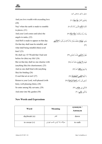|                                            | جدول مذكور مشخص كنيد.                                                                                    |
|--------------------------------------------|----------------------------------------------------------------------------------------------------------|
| And you love wealth with exceeding love    | وَتُحبُّونَ الْمَالَ <b>حُبًّا جَمًّا</b> (٢٠)                                                           |
| (20)                                       |                                                                                                          |
| Nay! when the earth is made to crumble     | كَلًا إذَا <b>دُكَّت</b> الْأَرْضُ دَكًّا دَكًّا (٢١)                                                    |
| to pieces, $(21)$                          |                                                                                                          |
| And your Lord comes and (also) the         | وَجَاء رَبُّكَ وَالْمَلَكُ صَفًّا صَفًا (٢٢)                                                             |
| angels in ranks, (22)                      |                                                                                                          |
| And Hell is made to appear on that day.    | وَجِيءَ <b>يَوْمَئِذ</b> بِجَهَنَّمَ يَوْمَئِذِ يَتَذَكَّرُ الْإِنسَانُ وَأَنَّى لَه <b>ُ الذِّكْرَى</b> |
| On that day shall man be mindful, and      | $(\forall \forall)$                                                                                      |
| what shall being mindful (then) avail      |                                                                                                          |
| him? (23)                                  |                                                                                                          |
| He shall say: O! Would that I had sent     | يَقُولُ <b>يَا لَيْتَنى</b> قَدَّمْتُ لحَيَاتى (٢۴)                                                      |
| before for (this) my life! $(24)$          |                                                                                                          |
| But on that day shall no one chastise with | فَيَوْمَئَذ <b> لَّا يُعَذِّبُ</b> عَذَابَهُ أَحَدُ <sup>ْ</sup> (٢۵)                                    |
| (anything like) his chastisement, (25)     |                                                                                                          |
| And no one shall bind with (anything       | وَلَا يُوثقُ <b>وَثَاقَهُ</b> أَحَدٌ (٢۶)                                                                |
| like) his binding $(26)$                   |                                                                                                          |
| O soul that art at rest! $(27)$            | يَا أَيَّتُهَا <b>النَّفْسُ الْمُطْمَئِنَّة</b> ُ (٢٧)                                                   |
| Return to your Lord, well-pleased (with    | ارْجعي إِلَى رَبِّك <b>رَاضيَةً مَّرْضيَّةً</b> (٢٨)                                                     |
| him), well-pleasing (him), (28)            |                                                                                                          |
| So enter among My servants, (29)           | فَادْخُلِي فِي عِبَادِي (٢٩)                                                                             |
| And enter into My garden (30)              | وَادْخُلي جَنَّتِي (٣٠)                                                                                  |

| Word           | <b>Meaning</b>            | synonym /<br>Antonym |
|----------------|---------------------------|----------------------|
| daybreak (n)   | فجر                       | dawn                 |
| to swear $(v)$ | سوگند ياد كردن، قسم خوردن | to oath              |